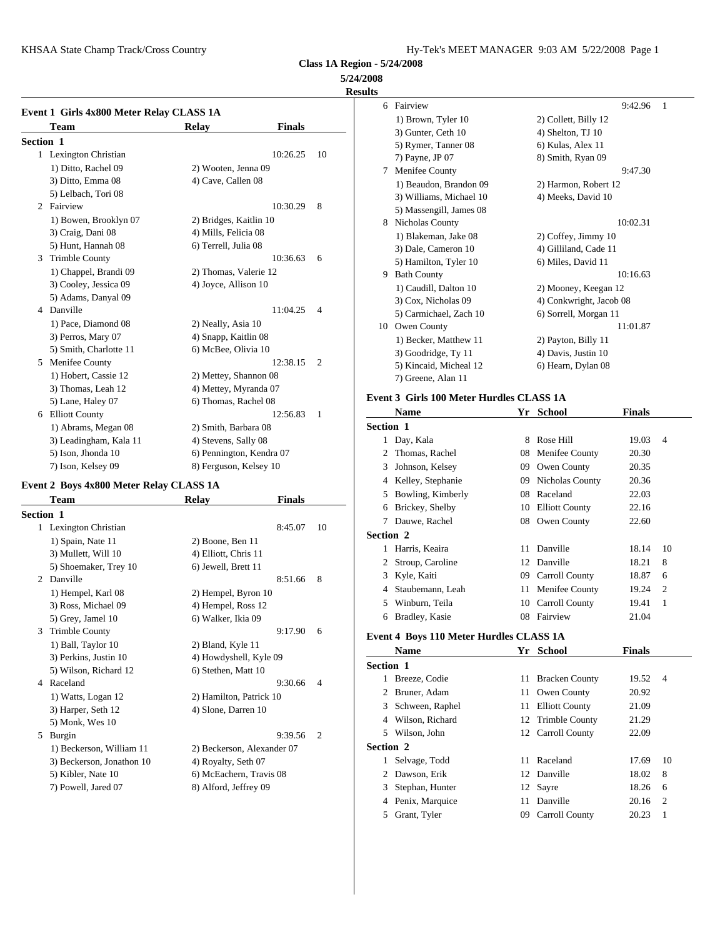KHSAA State Champ Track/Cross Country The Country Hy-Tek's MEET MANAGER 9:03 AM 5/22/2008 Page 1

**Class 1A Region - 5/24/2008**

**5/24/2008**

**Results**

|                  | Event 1 Girls 4x800 Meter Relay CLASS 1A |                          |               |                | 6          | Fairvi         |
|------------------|------------------------------------------|--------------------------|---------------|----------------|------------|----------------|
|                  | Team                                     | Relay                    | <b>Finals</b> |                |            | $1)$ Br        |
| <b>Section 1</b> |                                          |                          |               |                |            | 3) Gu<br>5) Ry |
|                  | 1 Lexington Christian                    |                          | 10:26.25      | 10             |            | 7) Pay         |
|                  | 1) Ditto, Rachel 09                      | 2) Wooten, Jenna 09      |               |                | 7          | Meni           |
|                  | 3) Ditto, Emma 08                        | 4) Cave, Callen 08       |               |                |            | $1)$ Be        |
|                  | 5) Lelbach, Tori 08                      |                          |               |                |            | 3) Wi          |
| 2                | Fairview                                 |                          | 10:30.29      | 8              |            | 5) Ma          |
|                  | 1) Bowen, Brooklyn 07                    | 2) Bridges, Kaitlin 10   |               |                | 8          | Nicho          |
|                  | 3) Craig, Dani 08                        | 4) Mills, Felicia 08     |               |                |            | $1)$ Bla       |
|                  | 5) Hunt, Hannah 08                       | 6) Terrell, Julia 08     |               |                |            | 3) Da          |
| 3                | <b>Trimble County</b>                    |                          | 10:36.63      | 6              |            | 5) Ha          |
|                  | 1) Chappel, Brandi 09                    | 2) Thomas, Valerie 12    |               |                | 9          | Bath (         |
|                  | 3) Cooley, Jessica 09                    | 4) Joyce, Allison 10     |               |                |            | $1)$ Ca        |
|                  | 5) Adams, Danyal 09                      |                          |               |                |            | $3)$ Co        |
|                  | 4 Danville                               |                          | 11:04.25      | $\overline{4}$ |            | 5) Ca          |
|                  | 1) Pace, Diamond 08                      | 2) Neally, Asia 10       |               |                | 10         | Owen           |
|                  | 3) Perros, Mary 07                       | 4) Snapp, Kaitlin 08     |               |                |            | $1)$ Be        |
|                  | 5) Smith, Charlotte 11                   | 6) McBee, Olivia 10      |               |                |            | $3)$ Go        |
| 5                | Menifee County                           |                          | 12:38.15      | $\overline{2}$ |            | 5) Kii         |
|                  | 1) Hobert, Cassie 12                     | 2) Mettey, Shannon 08    |               |                |            | 7) Gro         |
|                  | 3) Thomas, Leah 12                       | 4) Mettey, Myranda 07    |               |                |            |                |
|                  | 5) Lane, Haley 07                        | 6) Thomas, Rachel 08     |               |                | Event 3 Gi |                |
|                  | 6 Elliott County                         |                          | 12:56.83      | 1              |            | Nam            |
|                  | 1) Abrams, Megan 08                      | 2) Smith, Barbara 08     |               |                | Section 1  |                |
|                  | 3) Leadingham, Kala 11                   | 4) Stevens, Sally 08     |               |                |            | Day,           |
|                  | 5) Ison, Jhonda 10                       | 6) Pennington, Kendra 07 |               |                |            | Thom           |
|                  | 7) Ison, Kelsey 09                       | 8) Ferguson, Kelsey 10   |               |                | 3          | Johns          |

### **Event 2 Boys 4x800 Meter Relay CLASS 1A**

|                  | Team                      | <b>Relay</b>               | <b>Finals</b> |                |           | <b>DOMT</b>  |
|------------------|---------------------------|----------------------------|---------------|----------------|-----------|--------------|
| <b>Section 1</b> |                           |                            |               |                | 6         | <b>Brick</b> |
| $\mathbf{1}$     | Lexington Christian       |                            | 8:45.07       | 10             | 7         | Dauw         |
|                  | 1) Spain, Nate 11         | 2) Boone, Ben 11           |               |                | Section 2 |              |
|                  | 3) Mullett, Will 10       | 4) Elliott, Chris 11       |               |                | 1         | Harris       |
|                  | 5) Shoemaker, Trey 10     | 6) Jewell, Brett 11        |               |                | 2         | Strou        |
| 2                | Danville                  |                            | 8:51.66       | 8              | 3         | Kyle,        |
|                  | 1) Hempel, Karl 08        | 2) Hempel, Byron 10        |               |                | 4         | Staub        |
|                  | 3) Ross, Michael 09       | 4) Hempel, Ross 12         |               |                | 5         | Winb         |
|                  | 5) Grey, Jamel 10         | 6) Walker, Ikia 09         |               |                | 6         | <b>Bradl</b> |
| 3                | <b>Trimble County</b>     |                            | 9:17.90       | 6              |           | Event 4 Bo   |
|                  | 1) Ball, Taylor 10        | 2) Bland, Kyle 11          |               |                |           |              |
|                  | 3) Perkins, Justin 10     | 4) Howdyshell, Kyle 09     |               |                |           | <b>Nam</b>   |
|                  | 5) Wilson, Richard 12     | 6) Stethen, Matt 10        |               |                | Section 1 |              |
| 4                | Raceland                  |                            | 9:30.66       | $\overline{4}$ | 1         | <b>Breez</b> |
|                  | 1) Watts, Logan 12        | 2) Hamilton, Patrick 10    |               |                | 2         | Brune        |
|                  | 3) Harper, Seth 12        | 4) Slone, Darren 10        |               |                | 3         | Schw         |
|                  | 5) Monk, Wes 10           |                            |               |                | 4         | Wilso        |
| 5                | Burgin                    |                            | 9:39.56       | $\overline{2}$ | 5         | Wilso        |
|                  | 1) Beckerson, William 11  | 2) Beckerson, Alexander 07 |               |                | Section 2 |              |
|                  | 3) Beckerson, Jonathon 10 | 4) Royalty, Seth 07        |               |                | 1         | Selva        |
|                  | 5) Kibler, Nate 10        | 6) McEachern, Travis 08    |               |                | 2         | Daws         |
|                  | 7) Powell, Jared 07       | 8) Alford, Jeffrey 09      |               |                | 3         | Steph        |
|                  |                           |                            |               |                |           |              |

| 6  | Fairview                | 9:42.96<br>1            |
|----|-------------------------|-------------------------|
|    | 1) Brown, Tyler 10      | 2) Collett, Billy 12    |
|    | 3) Gunter, Ceth 10      | 4) Shelton, TJ 10       |
|    | 5) Rymer, Tanner 08     | 6) Kulas, Alex 11       |
|    | 7) Payne, JP 07         | 8) Smith, Ryan 09       |
| 7  | Menifee County          | 9:47.30                 |
|    | 1) Beaudon, Brandon 09  | 2) Harmon, Robert 12    |
|    | 3) Williams, Michael 10 | 4) Meeks, David 10      |
|    | 5) Massengill, James 08 |                         |
| 8  | Nicholas County         | 10:02.31                |
|    | 1) Blakeman, Jake 08    | 2) Coffey, Jimmy 10     |
|    | 3) Dale, Cameron 10     | 4) Gilliland, Cade 11   |
|    | 5) Hamilton, Tyler 10   | 6) Miles, David 11      |
| 9  | <b>Bath County</b>      | 10:16.63                |
|    | 1) Caudill, Dalton 10   | 2) Mooney, Keegan 12    |
|    | 3) Cox, Nicholas 09     | 4) Conkwright, Jacob 08 |
|    | 5) Carmichael, Zach 10  | 6) Sorrell, Morgan 11   |
| 10 | Owen County             | 11:01.87                |
|    | 1) Becker, Matthew 11   | 2) Payton, Billy 11     |
|    | 3) Goodridge, Ty 11     | 4) Davis, Justin 10     |
|    | 5) Kincaid, Micheal 12  | 6) Hearn, Dylan 08      |
|    | 7) Greene, Alan 11      |                         |

# **Event 3 Girls 100 Meter Hurdles CLASS 1A**

|                  | Name                                    |    | Yr School              | <b>Finals</b> |                |
|------------------|-----------------------------------------|----|------------------------|---------------|----------------|
| <b>Section 1</b> |                                         |    |                        |               |                |
|                  | Day, Kala                               | 8  | Rose Hill              | 19.03         | $\overline{4}$ |
| 2                | Thomas, Rachel                          | 08 | Menifee County         | 20.30         |                |
| 3                | Johnson, Kelsey                         | 09 | Owen County            | 20.35         |                |
| 4                | Kelley, Stephanie                       | 09 | <b>Nicholas County</b> | 20.36         |                |
| 5.               | Bowling, Kimberly                       |    | 08 Raceland            | 22.03         |                |
| 6                | Brickey, Shelby                         | 10 | <b>Elliott County</b>  | 22.16         |                |
| 7                | Dauwe, Rachel                           |    | 08 Owen County         | 22.60         |                |
| <b>Section 2</b> |                                         |    |                        |               |                |
|                  | Harris, Keaira                          |    | 11 Danville            | 18.14         | 10             |
| 2                | Stroup, Caroline                        |    | 12 Danville            | 18.21         | 8              |
|                  | 3 Kyle, Kaiti                           |    | 09 Carroll County      | 18.87         | 6              |
| 4                | Staubemann, Leah                        |    | 11 Menifee County      | 19.24         | $\mathcal{L}$  |
| 5                | Winburn, Teila                          | 10 | Carroll County         | 19.41         | 1              |
| 6                | Bradley, Kasie                          |    | 08 Fairview            | 21.04         |                |
|                  | Event 4 Boys 110 Meter Hurdles CLASS 1A |    |                        |               |                |

|                  | <b>Name</b>       |    | Yr School         | <b>Finals</b> |     |
|------------------|-------------------|----|-------------------|---------------|-----|
| <b>Section 1</b> |                   |    |                   |               |     |
|                  | Breeze, Codie     |    | 11 Bracken County | 19.52         | - 4 |
|                  | 2 Bruner, Adam    |    | 11 Owen County    | 20.92         |     |
|                  | 3 Schween, Raphel |    | 11 Elliott County | 21.09         |     |
|                  | 4 Wilson, Richard |    | 12 Trimble County | 21.29         |     |
| 5.               | Wilson, John      |    | 12 Carroll County | 22.09         |     |
| Section 2        |                   |    |                   |               |     |
| 1                | Selvage, Todd     |    | 11 Raceland       | 17.69         | 10  |
|                  | 2 Dawson, Erik    |    | 12 Danville       | 18.02         | 8   |
|                  | 3 Stephan, Hunter |    | 12 Sayre          | 18.26         | 6   |
|                  | 4 Penix, Marquice | 11 | Danville          | 20.16         | 2   |
| 5.               | Grant, Tyler      | 09 | Carroll County    | 20.23         | 1   |
|                  |                   |    |                   |               |     |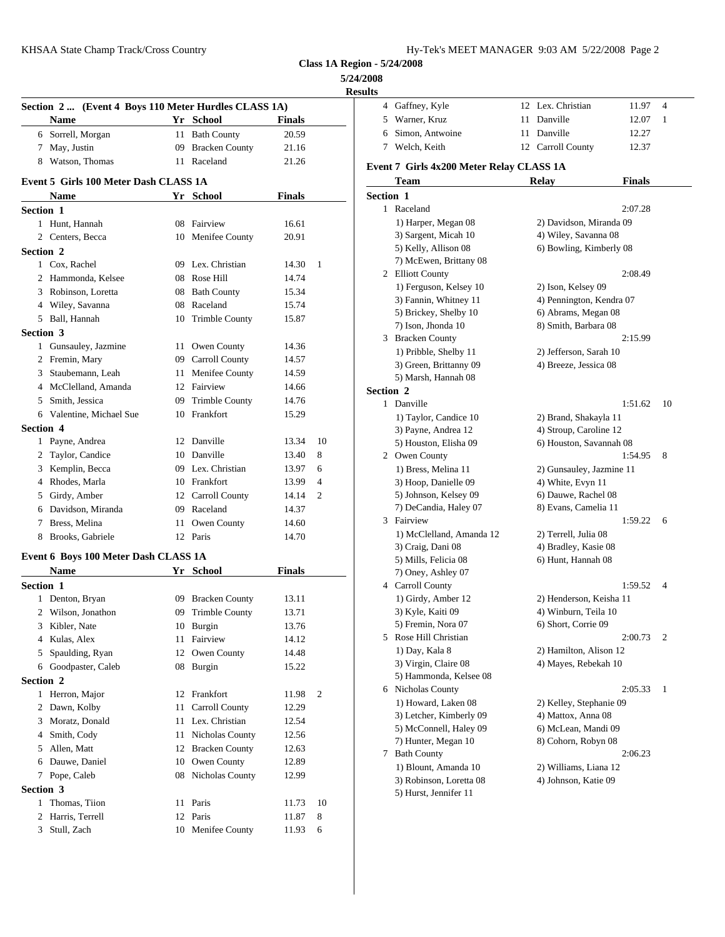**5/24/2008**

|                  |                                                      |    |                    |               | <b>Results</b> |                   |
|------------------|------------------------------------------------------|----|--------------------|---------------|----------------|-------------------|
|                  | Section 2  (Event 4 Boys 110 Meter Hurdles CLASS 1A) |    |                    |               |                | 4 Gaffn           |
|                  | Name                                                 |    | Yr School          | <b>Finals</b> |                | Warn<br>5.        |
|                  | 6 Sorrell, Morgan                                    |    | 11 Bath County     | 20.59         |                | Simor<br>6        |
|                  | 7 May, Justin                                        |    | 09 Bracken County  | 21.16         |                | Welcl<br>7        |
|                  | 8 Watson, Thomas                                     |    | 11 Raceland        | 21.26         |                | Event 7 Gi        |
|                  | Event 5 Girls 100 Meter Dash CLASS 1A                |    |                    |               |                | Tean              |
|                  | Name                                                 |    | Yr School          | <b>Finals</b> |                | Section 1         |
| <b>Section 1</b> |                                                      |    |                    |               |                | 1 Racel           |
|                  | 1 Hunt, Hannah                                       |    | 08 Fairview        | 16.61         |                | 1) Ha             |
|                  | 2 Centers, Becca                                     |    | 10 Menifee County  | 20.91         |                | 3) Sai            |
| Section 2        |                                                      |    |                    |               |                | 5) Ke             |
|                  | 1 Cox, Rachel                                        |    | 09 Lex. Christian  | 14.30         | 1              | 7) Mc             |
|                  | 2 Hammonda, Kelsee                                   |    | 08 Rose Hill       | 14.74         |                | 2 Elliot          |
|                  | 3 Robinson, Loretta                                  |    | 08 Bath County     | 15.34         |                | $1)$ Fe           |
|                  | 4 Wiley, Savanna                                     |    | 08 Raceland        | 15.74         |                | 3) Fai            |
|                  | 5 Ball, Hannah                                       |    | 10 Trimble County  | 15.87         |                | 5) Bri            |
| <b>Section 3</b> |                                                      |    |                    |               |                | 7) Iso            |
|                  | 1 Gunsauley, Jazmine                                 |    | 11 Owen County     | 14.36         |                | 3 Brack<br>1) Pri |
|                  | 2 Fremin, Mary                                       |    | 09 Carroll County  | 14.57         |                | $3)$ Gro          |
|                  | 3 Staubemann, Leah                                   |    | 11 Menifee County  | 14.59         |                | 5) Ma             |
|                  | 4 McClelland, Amanda                                 |    | 12 Fairview        | 14.66         |                | <b>Section 2</b>  |
|                  | 5 Smith, Jessica                                     |    | 09 Trimble County  | 14.76         |                | 1 Danvi           |
|                  | 6 Valentine, Michael Sue                             |    | 10 Frankfort       | 15.29         |                | 1) Ta             |
| <b>Section 4</b> |                                                      |    |                    |               |                | 3) Pay            |
|                  | 1 Payne, Andrea                                      |    | 12 Danville        | 13.34         | 10             | 5) Ho             |
|                  | 2 Taylor, Candice                                    |    | 10 Danville        | 13.40         | 8              | 2 Owen            |
|                  | 3 Kemplin, Becca                                     |    | 09 Lex. Christian  | 13.97         | 6              | $1)$ Br           |
|                  | 4 Rhodes, Marla                                      |    | 10 Frankfort       | 13.99         | $\overline{4}$ | 3) Ho             |
|                  | 5 Girdy, Amber                                       |    | 12 Carroll County  | 14.14         | 2              | 5) Joh            |
|                  | 6 Davidson, Miranda                                  |    | 09 Raceland        | 14.37         |                | 7) De             |
|                  | 7 Bress, Melina                                      |    | 11 Owen County     | 14.60         |                | 3 Fairvi          |
|                  | 8 Brooks, Gabriele                                   |    | 12 Paris           | 14.70         |                | 1) M              |
|                  | Event 6 Boys 100 Meter Dash CLASS 1A                 |    |                    |               |                | 3) Cra            |
|                  | <b>Name</b>                                          |    | Yr School          | <b>Finals</b> |                | 5) Mi             |
| Section 1        |                                                      |    |                    |               |                | 7) On<br>4 Carro  |
|                  | 1 Denton, Bryan                                      |    | 09 Bracken County  | 13.11         |                | $1)$ Gi           |
|                  | 2 Wilson, Jonathon                                   |    | 09 Trimble County  | 13.71         |                | 3) Ky             |
|                  | 3 Kibler, Nate                                       |    | 10 Burgin          | 13.76         |                | 5) Fre            |
|                  | 4 Kulas, Alex                                        | 11 | Fairview           | 14.12         |                | 5 Rose            |
| 5                | Spaulding, Ryan                                      |    | 12 Owen County     | 14.48         |                | 1) Da             |
|                  | 6 Goodpaster, Caleb                                  |    | 08 Burgin          | 15.22         |                | 3) Vii            |
| Section 2        |                                                      |    |                    |               |                | 5) Ha             |
|                  | 1 Herron, Major                                      |    | 12 Frankfort       | 11.98         | 2              | 6 Nicho           |
|                  | 2 Dawn, Kolby                                        | 11 | Carroll County     | 12.29         |                | 1) Ho             |
|                  | 3 Moratz, Donald                                     |    | 11 Lex. Christian  | 12.54         |                | $3)$ Let          |
|                  | 4 Smith, Cody                                        |    | 11 Nicholas County | 12.56         |                | 5) Mc             |
|                  | 5 Allen, Matt                                        |    | 12 Bracken County  | 12.63         |                | 7) Hu             |
|                  | 6 Dauwe, Daniel                                      |    | 10 Owen County     | 12.89         |                | Bath (<br>7       |
|                  | 7 Pope, Caleb                                        |    | 08 Nicholas County | 12.99         |                | 1) Blo            |
| Section 3        |                                                      |    |                    |               |                | 3) Ro             |
|                  | 1 Thomas, Tiion                                      |    | 11 Paris           | 11.73         | 10             | 5) Hu             |
|                  | 2 Harris, Terrell                                    |    | 12 Paris           | 11.87         | 8              |                   |
|                  |                                                      |    |                    |               |                |                   |
| 3                | Stull, Zach                                          |    | 10 Menifee County  | 11.93         | 6              |                   |

| ults      |                                                 |                          |         |    |
|-----------|-------------------------------------------------|--------------------------|---------|----|
|           | 4 Gaffney, Kyle                                 | 12 Lex. Christian        | 11.97   | 4  |
| 5         | Warner, Kruz                                    | 11 Danville              | 12.07   | 1  |
| 6         | Simon, Antwoine                                 | 11 Danville              | 12.27   |    |
|           | 7 Welch, Keith                                  | 12 Carroll County        | 12.37   |    |
|           | Event 7 Girls 4x200 Meter Relay CLASS 1A        |                          |         |    |
|           | Team                                            | <b>Relay</b>             | Finals  |    |
| Section 1 |                                                 |                          |         |    |
|           | 1 Raceland                                      |                          | 2:07.28 |    |
|           | 1) Harper, Megan 08                             | 2) Davidson, Miranda 09  |         |    |
|           | 3) Sargent, Micah 10                            | 4) Wiley, Savanna 08     |         |    |
|           | 5) Kelly, Allison 08                            | 6) Bowling, Kimberly 08  |         |    |
|           | 7) McEwen, Brittany 08                          |                          |         |    |
|           | 2 Elliott County                                |                          | 2:08.49 |    |
|           | 1) Ferguson, Kelsey 10                          | 2) Ison, Kelsey 09       |         |    |
|           | 3) Fannin, Whitney 11                           | 4) Pennington, Kendra 07 |         |    |
|           | 5) Brickey, Shelby 10                           | 6) Abrams, Megan 08      |         |    |
|           | 7) Ison, Jhonda 10                              | 8) Smith, Barbara 08     |         |    |
| 3.        | <b>Bracken County</b>                           |                          | 2:15.99 |    |
|           | 1) Pribble, Shelby 11                           | 2) Jefferson, Sarah 10   |         |    |
|           | 3) Green, Brittanny 09                          | 4) Breeze, Jessica 08    |         |    |
|           | 5) Marsh, Hannah 08                             |                          |         |    |
| Section 2 |                                                 |                          |         |    |
|           | 1 Danville                                      |                          | 1:51.62 | 10 |
|           | 1) Taylor, Candice 10                           | 2) Brand, Shakayla 11    |         |    |
|           | 3) Payne, Andrea 12                             | 4) Stroup, Caroline 12   |         |    |
|           | 5) Houston, Elisha 09<br>2 Owen County          | 6) Houston, Savannah 08  | 1:54.95 | 8  |
|           | 1) Bress, Melina 11                             | 2) Gunsauley, Jazmine 11 |         |    |
|           | 3) Hoop, Danielle 09                            | 4) White, Evyn 11        |         |    |
|           | 5) Johnson, Kelsey 09                           | 6) Dauwe, Rachel 08      |         |    |
|           | 7) DeCandia, Haley 07                           | 8) Evans, Camelia 11     |         |    |
|           | 3 Fairview                                      |                          | 1:59.22 | 6  |
|           | 1) McClelland, Amanda 12                        | 2) Terrell, Julia 08     |         |    |
|           | 3) Craig, Dani 08                               | 4) Bradley, Kasie 08     |         |    |
|           | 5) Mills, Felicia 08                            | 6) Hunt, Hannah 08       |         |    |
|           | 7) Oney, Ashley 07                              |                          |         |    |
|           | 4 Carroll County                                |                          | 1:59.52 | 4  |
|           | 1) Girdy, Amber 12                              | 2) Henderson, Keisha 11  |         |    |
|           | 3) Kyle, Kaiti 09                               | 4) Winburn, Teila 10     |         |    |
|           | 5) Fremin, Nora 07                              | 6) Short, Corrie 09      |         |    |
| 5.        | Rose Hill Christian                             |                          | 2:00.73 | 2  |
|           | 1) Day, Kala 8                                  | 2) Hamilton, Alison 12   |         |    |
|           | 3) Virgin, Claire 08                            | 4) Mayes, Rebekah 10     |         |    |
|           | 5) Hammonda, Kelsee 08                          |                          |         |    |
|           | 6 Nicholas County                               |                          | 2:05.33 | 1  |
|           | 1) Howard, Laken 08                             | 2) Kelley, Stephanie 09  |         |    |
|           | 3) Letcher, Kimberly 09                         | 4) Mattox, Anna 08       |         |    |
|           | 5) McConnell, Haley 09                          | 6) McLean, Mandi 09      |         |    |
|           | 7) Hunter, Megan 10                             | 8) Cohorn, Robyn 08      |         |    |
| 7         | <b>Bath County</b>                              |                          | 2:06.23 |    |
|           | 1) Blount, Amanda 10<br>3) Robinson, Loretta 08 | 2) Williams, Liana 12    |         |    |
|           | 5) Hurst, Jennifer 11                           | 4) Johnson, Katie 09     |         |    |
|           |                                                 |                          |         |    |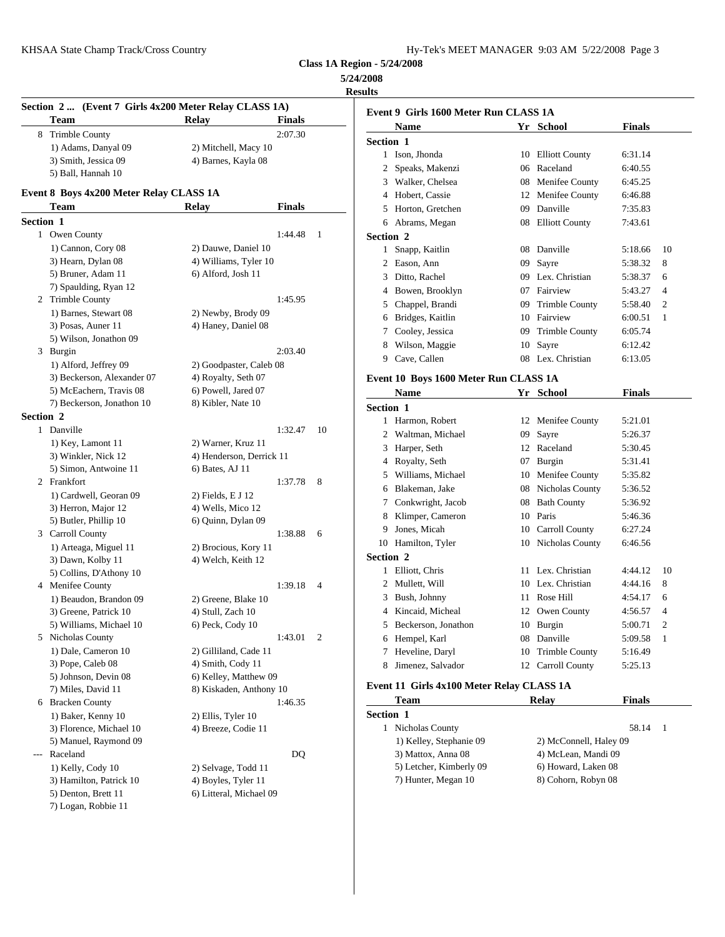| Iy-Tek's MEET MANAGER 9:03 AM 5/22/2008 Page 3 |  |  |  |
|------------------------------------------------|--|--|--|
|------------------------------------------------|--|--|--|

# **5/24/2008**

**Results**

| Event 9 Girls 1<br><b>Team</b><br><b>Relay</b><br><b>Finals</b><br>Name<br>2:07.30<br>8 Trimble County<br>Section 1<br>1) Adams, Danyal 09<br>2) Mitchell, Macy 10<br>1 Ison, Jhone<br>3) Smith, Jessica 09<br>4) Barnes, Kayla 08<br>Speaks, M<br>2<br>5) Ball, Hannah 10<br>3 Walker, Cl<br>Event 8 Boys 4x200 Meter Relay CLASS 1A<br>4 Hobert, Ca<br>Team<br>Relay<br><b>Finals</b><br>Horton, Gr<br>5<br>Section 1<br>Abrams, M<br>6<br>1 Owen County<br>1:44.48<br>$\mathbf{1}$<br>Section 2<br>1) Cannon, Cory 08<br>2) Dauwe, Daniel 10<br>1 Snapp, Ka<br>3) Hearn, Dylan 08<br>4) Williams, Tyler 10<br>Eason, An<br>$\mathbf{2}$<br>5) Bruner, Adam 11<br>6) Alford, Josh 11<br>Ditto, Racl<br>3<br>7) Spaulding, Ryan 12<br>Bowen, Br<br>4<br>2 Trimble County<br>1:45.95<br>Chappel, E<br>5<br>1) Barnes, Stewart 08<br>2) Newby, Brody 09<br>Bridges, K<br>6<br>3) Posas, Auner 11<br>4) Haney, Daniel 08<br>Cooley, Je<br>7<br>5) Wilson, Jonathon 09<br>Wilson, M<br>8<br>2:03.40<br>3 Burgin<br>Cave, Call<br>9<br>1) Alford, Jeffrey 09<br>2) Goodpaster, Caleb 08<br>3) Beckerson, Alexander 07<br>4) Royalty, Seth 07<br><b>Event 10 Boys</b><br>5) McEachern, Travis 08<br>6) Powell, Jared 07<br>Name<br>7) Beckerson, Jonathon 10<br>8) Kibler, Nate 10<br>Section 1<br>Section 2<br>1 Harmon, R<br>1 Danville<br>1:32.47<br>10<br>Waltman,<br>2<br>1) Key, Lamont 11<br>2) Warner, Kruz 11<br>Harper, Se<br>3<br>3) Winkler, Nick 12<br>4) Henderson, Derrick 11<br>Royalty, S<br>4<br>5) Simon, Antwoine 11<br>6) Bates, AJ 11<br>Williams,<br>5<br>2 Frankfort<br>1:37.78<br>8<br>Blakeman,<br>6<br>1) Cardwell, Georan 09<br>2) Fields, E J 12<br>Conkwrigh<br>7<br>3) Herron, Major 12<br>4) Wells, Mico 12<br>Klimper, C<br>8<br>5) Butler, Phillip 10<br>6) Quinn, Dylan 09<br>Jones, Mic<br>9<br>3 Carroll County<br>1:38.88<br>6<br>10 Hamilton,<br>1) Arteaga, Miguel 11<br>2) Brocious, Kory 11<br>Section 2<br>3) Dawn, Kolby 11<br>4) Welch, Keith 12<br>1 Elliott, Ch<br>5) Collins, D'Athony 10<br>Mullett, W<br>$\mathbf{2}$<br>4 Menifee County<br>1:39.18<br>4<br>Bush, Johr<br>3<br>1) Beaudon, Brandon 09<br>2) Greene, Blake 10<br>Kincaid, M<br>4<br>3) Greene, Patrick 10<br>4) Stull, Zach 10<br>5 Beckerson<br>5) Williams, Michael 10<br>6) Peck, Cody 10<br>2<br>5 Nicholas County<br>1:43.01<br>6 Hempel, K<br>1) Dale, Cameron 10<br>2) Gilliland, Cade 11<br>Heveline, l<br>7<br>3) Pope, Caleb 08<br>4) Smith, Cody 11<br>Jimenez, S<br>8<br>6) Kelley, Matthew 09<br>5) Johnson, Devin 08<br><b>Event 11 Girls</b><br>8) Kiskaden, Anthony 10<br>7) Miles, David 11<br><b>Team</b><br>6 Bracken County<br>1:46.35<br>Section 1<br>1) Baker, Kenny 10<br>2) Ellis, Tyler 10<br>1 Nicholas C<br>3) Florence, Michael 10<br>4) Breeze, Codie 11<br>5) Manuel, Raymond 09<br>1) Kelley,<br>Raceland<br>DQ<br>3) Mattox,<br>$---$<br>5) Letcher,<br>1) Kelly, Cody 10<br>2) Selvage, Todd 11<br>7) Hunter,<br>3) Hamilton, Patrick 10<br>4) Boyles, Tyler 11<br>5) Denton, Brett 11<br>6) Litteral, Michael 09<br>7) Logan, Robbie 11 | Section 2  (Event 7 Girls 4x200 Meter Relay CLASS 1A) |  |  |  |
|----------------------------------------------------------------------------------------------------------------------------------------------------------------------------------------------------------------------------------------------------------------------------------------------------------------------------------------------------------------------------------------------------------------------------------------------------------------------------------------------------------------------------------------------------------------------------------------------------------------------------------------------------------------------------------------------------------------------------------------------------------------------------------------------------------------------------------------------------------------------------------------------------------------------------------------------------------------------------------------------------------------------------------------------------------------------------------------------------------------------------------------------------------------------------------------------------------------------------------------------------------------------------------------------------------------------------------------------------------------------------------------------------------------------------------------------------------------------------------------------------------------------------------------------------------------------------------------------------------------------------------------------------------------------------------------------------------------------------------------------------------------------------------------------------------------------------------------------------------------------------------------------------------------------------------------------------------------------------------------------------------------------------------------------------------------------------------------------------------------------------------------------------------------------------------------------------------------------------------------------------------------------------------------------------------------------------------------------------------------------------------------------------------------------------------------------------------------------------------------------------------------------------------------------------------------------------------------------------------------------------------------------------------------------------------------------------------------------------------------------------------------------------------------------------------------------------------------------------------------------------------------------------------------------------------------------------------------------------------------------------------------------------------------------------------------------------------------|-------------------------------------------------------|--|--|--|
|                                                                                                                                                                                                                                                                                                                                                                                                                                                                                                                                                                                                                                                                                                                                                                                                                                                                                                                                                                                                                                                                                                                                                                                                                                                                                                                                                                                                                                                                                                                                                                                                                                                                                                                                                                                                                                                                                                                                                                                                                                                                                                                                                                                                                                                                                                                                                                                                                                                                                                                                                                                                                                                                                                                                                                                                                                                                                                                                                                                                                                                                                        |                                                       |  |  |  |
|                                                                                                                                                                                                                                                                                                                                                                                                                                                                                                                                                                                                                                                                                                                                                                                                                                                                                                                                                                                                                                                                                                                                                                                                                                                                                                                                                                                                                                                                                                                                                                                                                                                                                                                                                                                                                                                                                                                                                                                                                                                                                                                                                                                                                                                                                                                                                                                                                                                                                                                                                                                                                                                                                                                                                                                                                                                                                                                                                                                                                                                                                        |                                                       |  |  |  |
|                                                                                                                                                                                                                                                                                                                                                                                                                                                                                                                                                                                                                                                                                                                                                                                                                                                                                                                                                                                                                                                                                                                                                                                                                                                                                                                                                                                                                                                                                                                                                                                                                                                                                                                                                                                                                                                                                                                                                                                                                                                                                                                                                                                                                                                                                                                                                                                                                                                                                                                                                                                                                                                                                                                                                                                                                                                                                                                                                                                                                                                                                        |                                                       |  |  |  |
|                                                                                                                                                                                                                                                                                                                                                                                                                                                                                                                                                                                                                                                                                                                                                                                                                                                                                                                                                                                                                                                                                                                                                                                                                                                                                                                                                                                                                                                                                                                                                                                                                                                                                                                                                                                                                                                                                                                                                                                                                                                                                                                                                                                                                                                                                                                                                                                                                                                                                                                                                                                                                                                                                                                                                                                                                                                                                                                                                                                                                                                                                        |                                                       |  |  |  |
|                                                                                                                                                                                                                                                                                                                                                                                                                                                                                                                                                                                                                                                                                                                                                                                                                                                                                                                                                                                                                                                                                                                                                                                                                                                                                                                                                                                                                                                                                                                                                                                                                                                                                                                                                                                                                                                                                                                                                                                                                                                                                                                                                                                                                                                                                                                                                                                                                                                                                                                                                                                                                                                                                                                                                                                                                                                                                                                                                                                                                                                                                        |                                                       |  |  |  |
|                                                                                                                                                                                                                                                                                                                                                                                                                                                                                                                                                                                                                                                                                                                                                                                                                                                                                                                                                                                                                                                                                                                                                                                                                                                                                                                                                                                                                                                                                                                                                                                                                                                                                                                                                                                                                                                                                                                                                                                                                                                                                                                                                                                                                                                                                                                                                                                                                                                                                                                                                                                                                                                                                                                                                                                                                                                                                                                                                                                                                                                                                        |                                                       |  |  |  |
|                                                                                                                                                                                                                                                                                                                                                                                                                                                                                                                                                                                                                                                                                                                                                                                                                                                                                                                                                                                                                                                                                                                                                                                                                                                                                                                                                                                                                                                                                                                                                                                                                                                                                                                                                                                                                                                                                                                                                                                                                                                                                                                                                                                                                                                                                                                                                                                                                                                                                                                                                                                                                                                                                                                                                                                                                                                                                                                                                                                                                                                                                        |                                                       |  |  |  |
|                                                                                                                                                                                                                                                                                                                                                                                                                                                                                                                                                                                                                                                                                                                                                                                                                                                                                                                                                                                                                                                                                                                                                                                                                                                                                                                                                                                                                                                                                                                                                                                                                                                                                                                                                                                                                                                                                                                                                                                                                                                                                                                                                                                                                                                                                                                                                                                                                                                                                                                                                                                                                                                                                                                                                                                                                                                                                                                                                                                                                                                                                        |                                                       |  |  |  |
|                                                                                                                                                                                                                                                                                                                                                                                                                                                                                                                                                                                                                                                                                                                                                                                                                                                                                                                                                                                                                                                                                                                                                                                                                                                                                                                                                                                                                                                                                                                                                                                                                                                                                                                                                                                                                                                                                                                                                                                                                                                                                                                                                                                                                                                                                                                                                                                                                                                                                                                                                                                                                                                                                                                                                                                                                                                                                                                                                                                                                                                                                        |                                                       |  |  |  |
|                                                                                                                                                                                                                                                                                                                                                                                                                                                                                                                                                                                                                                                                                                                                                                                                                                                                                                                                                                                                                                                                                                                                                                                                                                                                                                                                                                                                                                                                                                                                                                                                                                                                                                                                                                                                                                                                                                                                                                                                                                                                                                                                                                                                                                                                                                                                                                                                                                                                                                                                                                                                                                                                                                                                                                                                                                                                                                                                                                                                                                                                                        |                                                       |  |  |  |
|                                                                                                                                                                                                                                                                                                                                                                                                                                                                                                                                                                                                                                                                                                                                                                                                                                                                                                                                                                                                                                                                                                                                                                                                                                                                                                                                                                                                                                                                                                                                                                                                                                                                                                                                                                                                                                                                                                                                                                                                                                                                                                                                                                                                                                                                                                                                                                                                                                                                                                                                                                                                                                                                                                                                                                                                                                                                                                                                                                                                                                                                                        |                                                       |  |  |  |
|                                                                                                                                                                                                                                                                                                                                                                                                                                                                                                                                                                                                                                                                                                                                                                                                                                                                                                                                                                                                                                                                                                                                                                                                                                                                                                                                                                                                                                                                                                                                                                                                                                                                                                                                                                                                                                                                                                                                                                                                                                                                                                                                                                                                                                                                                                                                                                                                                                                                                                                                                                                                                                                                                                                                                                                                                                                                                                                                                                                                                                                                                        |                                                       |  |  |  |
|                                                                                                                                                                                                                                                                                                                                                                                                                                                                                                                                                                                                                                                                                                                                                                                                                                                                                                                                                                                                                                                                                                                                                                                                                                                                                                                                                                                                                                                                                                                                                                                                                                                                                                                                                                                                                                                                                                                                                                                                                                                                                                                                                                                                                                                                                                                                                                                                                                                                                                                                                                                                                                                                                                                                                                                                                                                                                                                                                                                                                                                                                        |                                                       |  |  |  |
|                                                                                                                                                                                                                                                                                                                                                                                                                                                                                                                                                                                                                                                                                                                                                                                                                                                                                                                                                                                                                                                                                                                                                                                                                                                                                                                                                                                                                                                                                                                                                                                                                                                                                                                                                                                                                                                                                                                                                                                                                                                                                                                                                                                                                                                                                                                                                                                                                                                                                                                                                                                                                                                                                                                                                                                                                                                                                                                                                                                                                                                                                        |                                                       |  |  |  |
|                                                                                                                                                                                                                                                                                                                                                                                                                                                                                                                                                                                                                                                                                                                                                                                                                                                                                                                                                                                                                                                                                                                                                                                                                                                                                                                                                                                                                                                                                                                                                                                                                                                                                                                                                                                                                                                                                                                                                                                                                                                                                                                                                                                                                                                                                                                                                                                                                                                                                                                                                                                                                                                                                                                                                                                                                                                                                                                                                                                                                                                                                        |                                                       |  |  |  |
|                                                                                                                                                                                                                                                                                                                                                                                                                                                                                                                                                                                                                                                                                                                                                                                                                                                                                                                                                                                                                                                                                                                                                                                                                                                                                                                                                                                                                                                                                                                                                                                                                                                                                                                                                                                                                                                                                                                                                                                                                                                                                                                                                                                                                                                                                                                                                                                                                                                                                                                                                                                                                                                                                                                                                                                                                                                                                                                                                                                                                                                                                        |                                                       |  |  |  |
|                                                                                                                                                                                                                                                                                                                                                                                                                                                                                                                                                                                                                                                                                                                                                                                                                                                                                                                                                                                                                                                                                                                                                                                                                                                                                                                                                                                                                                                                                                                                                                                                                                                                                                                                                                                                                                                                                                                                                                                                                                                                                                                                                                                                                                                                                                                                                                                                                                                                                                                                                                                                                                                                                                                                                                                                                                                                                                                                                                                                                                                                                        |                                                       |  |  |  |
|                                                                                                                                                                                                                                                                                                                                                                                                                                                                                                                                                                                                                                                                                                                                                                                                                                                                                                                                                                                                                                                                                                                                                                                                                                                                                                                                                                                                                                                                                                                                                                                                                                                                                                                                                                                                                                                                                                                                                                                                                                                                                                                                                                                                                                                                                                                                                                                                                                                                                                                                                                                                                                                                                                                                                                                                                                                                                                                                                                                                                                                                                        |                                                       |  |  |  |
|                                                                                                                                                                                                                                                                                                                                                                                                                                                                                                                                                                                                                                                                                                                                                                                                                                                                                                                                                                                                                                                                                                                                                                                                                                                                                                                                                                                                                                                                                                                                                                                                                                                                                                                                                                                                                                                                                                                                                                                                                                                                                                                                                                                                                                                                                                                                                                                                                                                                                                                                                                                                                                                                                                                                                                                                                                                                                                                                                                                                                                                                                        |                                                       |  |  |  |
|                                                                                                                                                                                                                                                                                                                                                                                                                                                                                                                                                                                                                                                                                                                                                                                                                                                                                                                                                                                                                                                                                                                                                                                                                                                                                                                                                                                                                                                                                                                                                                                                                                                                                                                                                                                                                                                                                                                                                                                                                                                                                                                                                                                                                                                                                                                                                                                                                                                                                                                                                                                                                                                                                                                                                                                                                                                                                                                                                                                                                                                                                        |                                                       |  |  |  |
|                                                                                                                                                                                                                                                                                                                                                                                                                                                                                                                                                                                                                                                                                                                                                                                                                                                                                                                                                                                                                                                                                                                                                                                                                                                                                                                                                                                                                                                                                                                                                                                                                                                                                                                                                                                                                                                                                                                                                                                                                                                                                                                                                                                                                                                                                                                                                                                                                                                                                                                                                                                                                                                                                                                                                                                                                                                                                                                                                                                                                                                                                        |                                                       |  |  |  |
|                                                                                                                                                                                                                                                                                                                                                                                                                                                                                                                                                                                                                                                                                                                                                                                                                                                                                                                                                                                                                                                                                                                                                                                                                                                                                                                                                                                                                                                                                                                                                                                                                                                                                                                                                                                                                                                                                                                                                                                                                                                                                                                                                                                                                                                                                                                                                                                                                                                                                                                                                                                                                                                                                                                                                                                                                                                                                                                                                                                                                                                                                        |                                                       |  |  |  |
|                                                                                                                                                                                                                                                                                                                                                                                                                                                                                                                                                                                                                                                                                                                                                                                                                                                                                                                                                                                                                                                                                                                                                                                                                                                                                                                                                                                                                                                                                                                                                                                                                                                                                                                                                                                                                                                                                                                                                                                                                                                                                                                                                                                                                                                                                                                                                                                                                                                                                                                                                                                                                                                                                                                                                                                                                                                                                                                                                                                                                                                                                        |                                                       |  |  |  |
|                                                                                                                                                                                                                                                                                                                                                                                                                                                                                                                                                                                                                                                                                                                                                                                                                                                                                                                                                                                                                                                                                                                                                                                                                                                                                                                                                                                                                                                                                                                                                                                                                                                                                                                                                                                                                                                                                                                                                                                                                                                                                                                                                                                                                                                                                                                                                                                                                                                                                                                                                                                                                                                                                                                                                                                                                                                                                                                                                                                                                                                                                        |                                                       |  |  |  |
|                                                                                                                                                                                                                                                                                                                                                                                                                                                                                                                                                                                                                                                                                                                                                                                                                                                                                                                                                                                                                                                                                                                                                                                                                                                                                                                                                                                                                                                                                                                                                                                                                                                                                                                                                                                                                                                                                                                                                                                                                                                                                                                                                                                                                                                                                                                                                                                                                                                                                                                                                                                                                                                                                                                                                                                                                                                                                                                                                                                                                                                                                        |                                                       |  |  |  |
|                                                                                                                                                                                                                                                                                                                                                                                                                                                                                                                                                                                                                                                                                                                                                                                                                                                                                                                                                                                                                                                                                                                                                                                                                                                                                                                                                                                                                                                                                                                                                                                                                                                                                                                                                                                                                                                                                                                                                                                                                                                                                                                                                                                                                                                                                                                                                                                                                                                                                                                                                                                                                                                                                                                                                                                                                                                                                                                                                                                                                                                                                        |                                                       |  |  |  |
|                                                                                                                                                                                                                                                                                                                                                                                                                                                                                                                                                                                                                                                                                                                                                                                                                                                                                                                                                                                                                                                                                                                                                                                                                                                                                                                                                                                                                                                                                                                                                                                                                                                                                                                                                                                                                                                                                                                                                                                                                                                                                                                                                                                                                                                                                                                                                                                                                                                                                                                                                                                                                                                                                                                                                                                                                                                                                                                                                                                                                                                                                        |                                                       |  |  |  |
|                                                                                                                                                                                                                                                                                                                                                                                                                                                                                                                                                                                                                                                                                                                                                                                                                                                                                                                                                                                                                                                                                                                                                                                                                                                                                                                                                                                                                                                                                                                                                                                                                                                                                                                                                                                                                                                                                                                                                                                                                                                                                                                                                                                                                                                                                                                                                                                                                                                                                                                                                                                                                                                                                                                                                                                                                                                                                                                                                                                                                                                                                        |                                                       |  |  |  |
|                                                                                                                                                                                                                                                                                                                                                                                                                                                                                                                                                                                                                                                                                                                                                                                                                                                                                                                                                                                                                                                                                                                                                                                                                                                                                                                                                                                                                                                                                                                                                                                                                                                                                                                                                                                                                                                                                                                                                                                                                                                                                                                                                                                                                                                                                                                                                                                                                                                                                                                                                                                                                                                                                                                                                                                                                                                                                                                                                                                                                                                                                        |                                                       |  |  |  |
|                                                                                                                                                                                                                                                                                                                                                                                                                                                                                                                                                                                                                                                                                                                                                                                                                                                                                                                                                                                                                                                                                                                                                                                                                                                                                                                                                                                                                                                                                                                                                                                                                                                                                                                                                                                                                                                                                                                                                                                                                                                                                                                                                                                                                                                                                                                                                                                                                                                                                                                                                                                                                                                                                                                                                                                                                                                                                                                                                                                                                                                                                        |                                                       |  |  |  |
|                                                                                                                                                                                                                                                                                                                                                                                                                                                                                                                                                                                                                                                                                                                                                                                                                                                                                                                                                                                                                                                                                                                                                                                                                                                                                                                                                                                                                                                                                                                                                                                                                                                                                                                                                                                                                                                                                                                                                                                                                                                                                                                                                                                                                                                                                                                                                                                                                                                                                                                                                                                                                                                                                                                                                                                                                                                                                                                                                                                                                                                                                        |                                                       |  |  |  |
|                                                                                                                                                                                                                                                                                                                                                                                                                                                                                                                                                                                                                                                                                                                                                                                                                                                                                                                                                                                                                                                                                                                                                                                                                                                                                                                                                                                                                                                                                                                                                                                                                                                                                                                                                                                                                                                                                                                                                                                                                                                                                                                                                                                                                                                                                                                                                                                                                                                                                                                                                                                                                                                                                                                                                                                                                                                                                                                                                                                                                                                                                        |                                                       |  |  |  |
|                                                                                                                                                                                                                                                                                                                                                                                                                                                                                                                                                                                                                                                                                                                                                                                                                                                                                                                                                                                                                                                                                                                                                                                                                                                                                                                                                                                                                                                                                                                                                                                                                                                                                                                                                                                                                                                                                                                                                                                                                                                                                                                                                                                                                                                                                                                                                                                                                                                                                                                                                                                                                                                                                                                                                                                                                                                                                                                                                                                                                                                                                        |                                                       |  |  |  |
|                                                                                                                                                                                                                                                                                                                                                                                                                                                                                                                                                                                                                                                                                                                                                                                                                                                                                                                                                                                                                                                                                                                                                                                                                                                                                                                                                                                                                                                                                                                                                                                                                                                                                                                                                                                                                                                                                                                                                                                                                                                                                                                                                                                                                                                                                                                                                                                                                                                                                                                                                                                                                                                                                                                                                                                                                                                                                                                                                                                                                                                                                        |                                                       |  |  |  |
|                                                                                                                                                                                                                                                                                                                                                                                                                                                                                                                                                                                                                                                                                                                                                                                                                                                                                                                                                                                                                                                                                                                                                                                                                                                                                                                                                                                                                                                                                                                                                                                                                                                                                                                                                                                                                                                                                                                                                                                                                                                                                                                                                                                                                                                                                                                                                                                                                                                                                                                                                                                                                                                                                                                                                                                                                                                                                                                                                                                                                                                                                        |                                                       |  |  |  |
|                                                                                                                                                                                                                                                                                                                                                                                                                                                                                                                                                                                                                                                                                                                                                                                                                                                                                                                                                                                                                                                                                                                                                                                                                                                                                                                                                                                                                                                                                                                                                                                                                                                                                                                                                                                                                                                                                                                                                                                                                                                                                                                                                                                                                                                                                                                                                                                                                                                                                                                                                                                                                                                                                                                                                                                                                                                                                                                                                                                                                                                                                        |                                                       |  |  |  |
|                                                                                                                                                                                                                                                                                                                                                                                                                                                                                                                                                                                                                                                                                                                                                                                                                                                                                                                                                                                                                                                                                                                                                                                                                                                                                                                                                                                                                                                                                                                                                                                                                                                                                                                                                                                                                                                                                                                                                                                                                                                                                                                                                                                                                                                                                                                                                                                                                                                                                                                                                                                                                                                                                                                                                                                                                                                                                                                                                                                                                                                                                        |                                                       |  |  |  |
|                                                                                                                                                                                                                                                                                                                                                                                                                                                                                                                                                                                                                                                                                                                                                                                                                                                                                                                                                                                                                                                                                                                                                                                                                                                                                                                                                                                                                                                                                                                                                                                                                                                                                                                                                                                                                                                                                                                                                                                                                                                                                                                                                                                                                                                                                                                                                                                                                                                                                                                                                                                                                                                                                                                                                                                                                                                                                                                                                                                                                                                                                        |                                                       |  |  |  |
|                                                                                                                                                                                                                                                                                                                                                                                                                                                                                                                                                                                                                                                                                                                                                                                                                                                                                                                                                                                                                                                                                                                                                                                                                                                                                                                                                                                                                                                                                                                                                                                                                                                                                                                                                                                                                                                                                                                                                                                                                                                                                                                                                                                                                                                                                                                                                                                                                                                                                                                                                                                                                                                                                                                                                                                                                                                                                                                                                                                                                                                                                        |                                                       |  |  |  |
|                                                                                                                                                                                                                                                                                                                                                                                                                                                                                                                                                                                                                                                                                                                                                                                                                                                                                                                                                                                                                                                                                                                                                                                                                                                                                                                                                                                                                                                                                                                                                                                                                                                                                                                                                                                                                                                                                                                                                                                                                                                                                                                                                                                                                                                                                                                                                                                                                                                                                                                                                                                                                                                                                                                                                                                                                                                                                                                                                                                                                                                                                        |                                                       |  |  |  |
|                                                                                                                                                                                                                                                                                                                                                                                                                                                                                                                                                                                                                                                                                                                                                                                                                                                                                                                                                                                                                                                                                                                                                                                                                                                                                                                                                                                                                                                                                                                                                                                                                                                                                                                                                                                                                                                                                                                                                                                                                                                                                                                                                                                                                                                                                                                                                                                                                                                                                                                                                                                                                                                                                                                                                                                                                                                                                                                                                                                                                                                                                        |                                                       |  |  |  |
|                                                                                                                                                                                                                                                                                                                                                                                                                                                                                                                                                                                                                                                                                                                                                                                                                                                                                                                                                                                                                                                                                                                                                                                                                                                                                                                                                                                                                                                                                                                                                                                                                                                                                                                                                                                                                                                                                                                                                                                                                                                                                                                                                                                                                                                                                                                                                                                                                                                                                                                                                                                                                                                                                                                                                                                                                                                                                                                                                                                                                                                                                        |                                                       |  |  |  |
|                                                                                                                                                                                                                                                                                                                                                                                                                                                                                                                                                                                                                                                                                                                                                                                                                                                                                                                                                                                                                                                                                                                                                                                                                                                                                                                                                                                                                                                                                                                                                                                                                                                                                                                                                                                                                                                                                                                                                                                                                                                                                                                                                                                                                                                                                                                                                                                                                                                                                                                                                                                                                                                                                                                                                                                                                                                                                                                                                                                                                                                                                        |                                                       |  |  |  |
|                                                                                                                                                                                                                                                                                                                                                                                                                                                                                                                                                                                                                                                                                                                                                                                                                                                                                                                                                                                                                                                                                                                                                                                                                                                                                                                                                                                                                                                                                                                                                                                                                                                                                                                                                                                                                                                                                                                                                                                                                                                                                                                                                                                                                                                                                                                                                                                                                                                                                                                                                                                                                                                                                                                                                                                                                                                                                                                                                                                                                                                                                        |                                                       |  |  |  |
|                                                                                                                                                                                                                                                                                                                                                                                                                                                                                                                                                                                                                                                                                                                                                                                                                                                                                                                                                                                                                                                                                                                                                                                                                                                                                                                                                                                                                                                                                                                                                                                                                                                                                                                                                                                                                                                                                                                                                                                                                                                                                                                                                                                                                                                                                                                                                                                                                                                                                                                                                                                                                                                                                                                                                                                                                                                                                                                                                                                                                                                                                        |                                                       |  |  |  |
|                                                                                                                                                                                                                                                                                                                                                                                                                                                                                                                                                                                                                                                                                                                                                                                                                                                                                                                                                                                                                                                                                                                                                                                                                                                                                                                                                                                                                                                                                                                                                                                                                                                                                                                                                                                                                                                                                                                                                                                                                                                                                                                                                                                                                                                                                                                                                                                                                                                                                                                                                                                                                                                                                                                                                                                                                                                                                                                                                                                                                                                                                        |                                                       |  |  |  |
|                                                                                                                                                                                                                                                                                                                                                                                                                                                                                                                                                                                                                                                                                                                                                                                                                                                                                                                                                                                                                                                                                                                                                                                                                                                                                                                                                                                                                                                                                                                                                                                                                                                                                                                                                                                                                                                                                                                                                                                                                                                                                                                                                                                                                                                                                                                                                                                                                                                                                                                                                                                                                                                                                                                                                                                                                                                                                                                                                                                                                                                                                        |                                                       |  |  |  |
|                                                                                                                                                                                                                                                                                                                                                                                                                                                                                                                                                                                                                                                                                                                                                                                                                                                                                                                                                                                                                                                                                                                                                                                                                                                                                                                                                                                                                                                                                                                                                                                                                                                                                                                                                                                                                                                                                                                                                                                                                                                                                                                                                                                                                                                                                                                                                                                                                                                                                                                                                                                                                                                                                                                                                                                                                                                                                                                                                                                                                                                                                        |                                                       |  |  |  |
|                                                                                                                                                                                                                                                                                                                                                                                                                                                                                                                                                                                                                                                                                                                                                                                                                                                                                                                                                                                                                                                                                                                                                                                                                                                                                                                                                                                                                                                                                                                                                                                                                                                                                                                                                                                                                                                                                                                                                                                                                                                                                                                                                                                                                                                                                                                                                                                                                                                                                                                                                                                                                                                                                                                                                                                                                                                                                                                                                                                                                                                                                        |                                                       |  |  |  |
|                                                                                                                                                                                                                                                                                                                                                                                                                                                                                                                                                                                                                                                                                                                                                                                                                                                                                                                                                                                                                                                                                                                                                                                                                                                                                                                                                                                                                                                                                                                                                                                                                                                                                                                                                                                                                                                                                                                                                                                                                                                                                                                                                                                                                                                                                                                                                                                                                                                                                                                                                                                                                                                                                                                                                                                                                                                                                                                                                                                                                                                                                        |                                                       |  |  |  |
|                                                                                                                                                                                                                                                                                                                                                                                                                                                                                                                                                                                                                                                                                                                                                                                                                                                                                                                                                                                                                                                                                                                                                                                                                                                                                                                                                                                                                                                                                                                                                                                                                                                                                                                                                                                                                                                                                                                                                                                                                                                                                                                                                                                                                                                                                                                                                                                                                                                                                                                                                                                                                                                                                                                                                                                                                                                                                                                                                                                                                                                                                        |                                                       |  |  |  |
|                                                                                                                                                                                                                                                                                                                                                                                                                                                                                                                                                                                                                                                                                                                                                                                                                                                                                                                                                                                                                                                                                                                                                                                                                                                                                                                                                                                                                                                                                                                                                                                                                                                                                                                                                                                                                                                                                                                                                                                                                                                                                                                                                                                                                                                                                                                                                                                                                                                                                                                                                                                                                                                                                                                                                                                                                                                                                                                                                                                                                                                                                        |                                                       |  |  |  |
|                                                                                                                                                                                                                                                                                                                                                                                                                                                                                                                                                                                                                                                                                                                                                                                                                                                                                                                                                                                                                                                                                                                                                                                                                                                                                                                                                                                                                                                                                                                                                                                                                                                                                                                                                                                                                                                                                                                                                                                                                                                                                                                                                                                                                                                                                                                                                                                                                                                                                                                                                                                                                                                                                                                                                                                                                                                                                                                                                                                                                                                                                        |                                                       |  |  |  |

|                  | Event 9 Girls 1600 Meter Run CLASS 1A     |                    |               |    |
|------------------|-------------------------------------------|--------------------|---------------|----|
|                  | <b>Name</b>                               | Yr School          | <b>Finals</b> |    |
| <b>Section 1</b> |                                           |                    |               |    |
|                  | 1 Ison, Jhonda                            | 10 Elliott County  | 6:31.14       |    |
|                  | 2 Speaks, Makenzi                         | 06 Raceland        | 6:40.55       |    |
|                  | 3 Walker, Chelsea                         | 08 Menifee County  | 6:45.25       |    |
|                  | 4 Hobert, Cassie                          | 12 Menifee County  | 6:46.88       |    |
|                  | 5 Horton, Gretchen                        | 09 Danville        | 7:35.83       |    |
|                  | 6 Abrams, Megan                           | 08 Elliott County  | 7:43.61       |    |
| <b>Section 2</b> |                                           |                    |               |    |
|                  | 1 Snapp, Kaitlin                          | 08 Danville        | 5:18.66       | 10 |
|                  | 2 Eason, Ann                              | 09 Sayre           | 5:38.32       | 8  |
|                  | 3 Ditto, Rachel                           | 09 Lex. Christian  | 5:38.37       | 6  |
|                  | 4 Bowen, Brooklyn                         | 07 Fairview        | 5:43.27       | 4  |
|                  | 5 Chappel, Brandi                         | 09 Trimble County  | 5:58.40       | 2  |
|                  | 6 Bridges, Kaitlin                        | 10 Fairview        | 6:00.51       | 1  |
|                  | 7 Cooley, Jessica                         | 09 Trimble County  | 6:05.74       |    |
|                  | 8 Wilson, Maggie                          | 10 Sayre           | 6:12.42       |    |
|                  | 9 Cave, Callen                            | 08 Lex. Christian  | 6:13.05       |    |
|                  | Event 10 Boys 1600 Meter Run CLASS 1A     |                    |               |    |
|                  | Name                                      | Yr School          | <b>Finals</b> |    |
| <b>Section 1</b> |                                           |                    |               |    |
|                  | 1 Harmon, Robert                          | 12 Menifee County  | 5:21.01       |    |
|                  | 2 Waltman, Michael                        | 09 Sayre           | 5:26.37       |    |
|                  | 3 Harper, Seth                            | 12 Raceland        | 5:30.45       |    |
|                  | 4 Royalty, Seth                           | 07 Burgin          | 5:31.41       |    |
|                  | 5 Williams, Michael                       | 10 Menifee County  | 5:35.82       |    |
|                  | 6 Blakeman, Jake                          | 08 Nicholas County | 5:36.52       |    |
|                  | 7 Conkwright, Jacob                       | 08 Bath County     | 5:36.92       |    |
|                  | 8 Klimper, Cameron                        | 10 Paris           | 5:46.36       |    |
|                  | 9 Jones, Micah                            | 10 Carroll County  | 6:27.24       |    |
|                  | 10 Hamilton, Tyler                        | 10 Nicholas County | 6:46.56       |    |
| <b>Section 2</b> |                                           |                    |               |    |
|                  | 1 Elliott, Chris                          | 11 Lex. Christian  | 4:44.12       | 10 |
|                  | 2 Mullett, Will                           | 10 Lex. Christian  | 4:44.16       | 8  |
|                  | 3 Bush, Johnny                            | 11 Rose Hill       | 4:54.17       | 6  |
|                  | 4 Kincaid, Micheal                        | 12 Owen County     | 4:56.57       | 4  |
|                  | 5 Beckerson, Jonathon                     | 10 Burgin          | 5:00.71       | 2  |
|                  | 6 Hempel, Karl                            | 08 Danville        | 5:09.58       | 1  |
|                  | 7 Heveline, Daryl                         | 10 Trimble County  | 5:16.49       |    |
|                  | 8 Jimenez, Salvador                       | 12 Carroll County  | 5:25.13       |    |
|                  | Event 11 Girls 4x100 Meter Relay CLASS 1A |                    |               |    |
|                  | Team                                      | Relay              | <b>Finals</b> |    |
|                  |                                           |                    |               |    |

| Section 1               |                        |
|-------------------------|------------------------|
| Nicholas County         | 58.14                  |
| 1) Kelley, Stephanie 09 | 2) McConnell, Haley 09 |
| 3) Mattox, Anna 08      | 4) McLean, Mandi 09    |
| 5) Letcher, Kimberly 09 | 6) Howard, Laken 08    |
| 7) Hunter, Megan 10     | 8) Cohorn, Robyn 08    |
|                         |                        |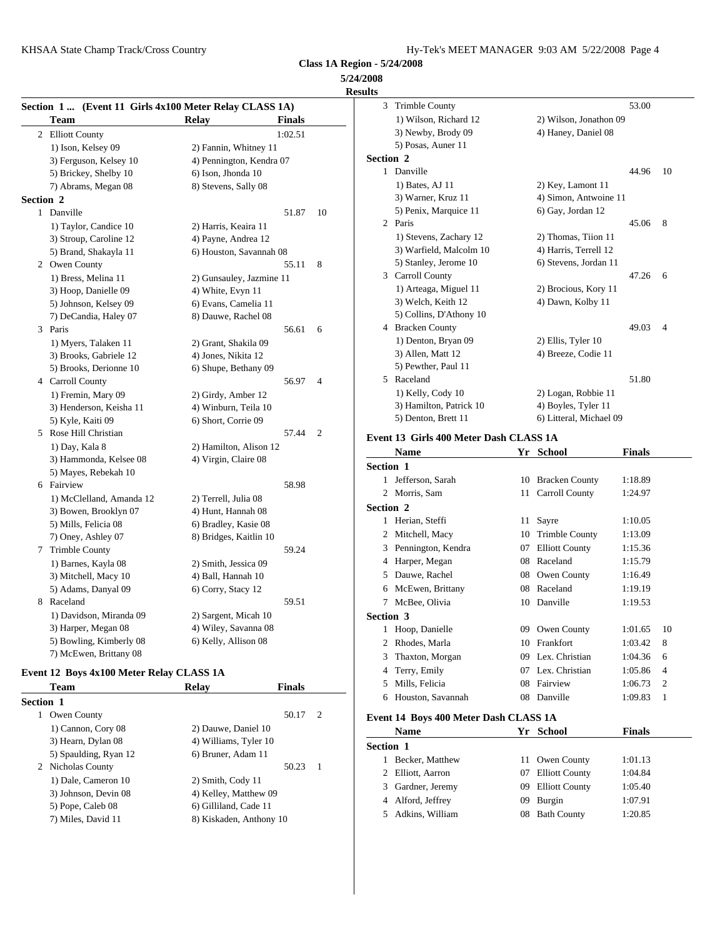**5/24/2008**

| Section 1 (Event 11 Girls 4x100 Meter Relay CLASS 1A) |                          |               |                | 3 Trimble County                       |    |                         | 53.00         |                |
|-------------------------------------------------------|--------------------------|---------------|----------------|----------------------------------------|----|-------------------------|---------------|----------------|
| <b>Team</b>                                           | Relay                    | <b>Finals</b> |                | 1) Wilson, Richard 12                  |    | 2) Wilson, Jonathon 09  |               |                |
| 2 Elliott County                                      |                          | 1:02.51       |                | 3) Newby, Brody 09                     |    | 4) Haney, Daniel 08     |               |                |
| 1) Ison, Kelsey 09                                    | 2) Fannin, Whitney 11    |               |                | 5) Posas, Auner 11                     |    |                         |               |                |
| 3) Ferguson, Kelsey 10                                | 4) Pennington, Kendra 07 |               |                | Section 2                              |    |                         |               |                |
| 5) Brickey, Shelby 10                                 | 6) Ison, Jhonda 10       |               |                | 1 Danville                             |    |                         | 44.96         | -10            |
| 7) Abrams, Megan 08                                   | 8) Stevens, Sally 08     |               |                | 1) Bates, AJ 11                        |    | 2) Key, Lamont 11       |               |                |
| <b>Section 2</b>                                      |                          |               |                | 3) Warner, Kruz 11                     |    | 4) Simon, Antwoine 11   |               |                |
| 1 Danville                                            |                          | 51.87         | 10             | 5) Penix, Marquice 11                  |    | 6) Gay, Jordan 12       |               |                |
| 1) Taylor, Candice 10                                 | 2) Harris, Keaira 11     |               |                | 2 Paris                                |    |                         | 45.06         | 8              |
| 3) Stroup, Caroline 12                                | 4) Payne, Andrea 12      |               |                | 1) Stevens, Zachary 12                 |    | 2) Thomas, Tiion 11     |               |                |
| 5) Brand, Shakayla 11                                 | 6) Houston, Savannah 08  |               |                | 3) Warfield, Malcolm 10                |    | 4) Harris, Terrell 12   |               |                |
| 2 Owen County                                         |                          | 55.11         | 8              | 5) Stanley, Jerome 10                  |    | 6) Stevens, Jordan 11   |               |                |
| 1) Bress, Melina 11                                   | 2) Gunsauley, Jazmine 11 |               |                | 3 Carroll County                       |    |                         | 47.26         | - 6            |
| 3) Hoop, Danielle 09                                  | 4) White, Evyn 11        |               |                | 1) Arteaga, Miguel 11                  |    | 2) Brocious, Kory 11    |               |                |
| 5) Johnson, Kelsey 09                                 | 6) Evans, Camelia 11     |               |                | 3) Welch, Keith 12                     |    | 4) Dawn, Kolby 11       |               |                |
| 7) DeCandia, Haley 07                                 | 8) Dauwe, Rachel 08      |               |                | 5) Collins, D'Athony 10                |    |                         |               |                |
| 3 Paris                                               |                          | 56.61         | 6              | 4 Bracken County                       |    |                         | 49.03         | $\overline{4}$ |
| 1) Myers, Talaken 11                                  | 2) Grant, Shakila 09     |               |                | 1) Denton, Bryan 09                    |    | 2) Ellis, Tyler 10      |               |                |
| 3) Brooks, Gabriele 12                                | 4) Jones, Nikita 12      |               |                | 3) Allen, Matt 12                      |    | 4) Breeze, Codie 11     |               |                |
| 5) Brooks, Derionne 10                                | 6) Shupe, Bethany 09     |               |                | 5) Pewther, Paul 11                    |    |                         |               |                |
| 4 Carroll County                                      |                          | 56.97         | $\overline{4}$ | 5 Raceland                             |    |                         | 51.80         |                |
| 1) Fremin, Mary 09                                    | 2) Girdy, Amber 12       |               |                | 1) Kelly, Cody 10                      |    | 2) Logan, Robbie 11     |               |                |
| 3) Henderson, Keisha 11                               | 4) Winburn, Teila 10     |               |                | 3) Hamilton, Patrick 10                |    | 4) Boyles, Tyler 11     |               |                |
| 5) Kyle, Kaiti 09                                     | 6) Short, Corrie 09      |               |                | 5) Denton, Brett 11                    |    | 6) Litteral, Michael 09 |               |                |
| 5 Rose Hill Christian                                 |                          | 57.44         | 2              |                                        |    |                         |               |                |
| 1) Day, Kala 8                                        | 2) Hamilton, Alison 12   |               |                | Event 13 Girls 400 Meter Dash CLASS 1A |    |                         |               |                |
| 3) Hammonda, Kelsee 08                                | 4) Virgin, Claire 08     |               |                | <b>Name</b>                            |    | Yr School               | <b>Finals</b> |                |
| 5) Mayes, Rebekah 10                                  |                          |               |                | Section 1                              |    |                         |               |                |
| 6 Fairview                                            |                          | 58.98         |                | 1 Jefferson, Sarah                     |    | 10 Bracken County       | 1:18.89       |                |
| 1) McClelland, Amanda 12                              | 2) Terrell, Julia 08     |               |                | 2 Morris, Sam                          |    | 11 Carroll County       | 1:24.97       |                |
| 3) Bowen, Brooklyn 07                                 | 4) Hunt, Hannah 08       |               |                | Section 2                              |    |                         |               |                |
| 5) Mills, Felicia 08                                  | 6) Bradley, Kasie 08     |               |                | 1 Herian, Steffi                       |    | 11 Sayre                | 1:10.05       |                |
| 7) Oney, Ashley 07                                    | 8) Bridges, Kaitlin 10   |               |                | 2 Mitchell, Macy                       |    | 10 Trimble County       | 1:13.09       |                |
| 7 Trimble County                                      |                          | 59.24         |                | 3 Pennington, Kendra                   |    | 07 Elliott County       | 1:15.36       |                |
| 1) Barnes, Kayla 08                                   | 2) Smith, Jessica 09     |               |                | 4 Harper, Megan                        | 08 | Raceland                | 1:15.79       |                |
| 3) Mitchell, Macy 10                                  | 4) Ball, Hannah 10       |               |                | 5 Dauwe, Rachel                        | 08 | Owen County             | 1:16.49       |                |
| 5) Adams, Danyal 09                                   | 6) Corry, Stacy 12       |               |                | 6 McEwen, Brittany                     |    | 08 Raceland             | 1:19.19       |                |
| 8 Raceland                                            |                          | 59.51         |                | 7 McBee, Olivia                        |    | 10 Danville             | 1:19.53       |                |
| 1) Davidson, Miranda 09                               | 2) Sargent, Micah 10     |               |                | Section 3                              |    |                         |               |                |
| 3) Harper, Megan 08                                   | 4) Wiley, Savanna 08     |               |                | 1 Hoop, Danielle                       |    | 09 Owen County          | 1:01.65       | 10             |
| 5) Bowling, Kimberly 08                               | 6) Kelly, Allison 08     |               |                | 2 Rhodes, Marla                        |    | 10 Frankfort            | 1:03.42       | 8              |
| 7) McEwen, Brittany 08                                |                          |               |                | 3 Thaxton Morgan                       |    | 09 Lex Christian        | 1.04366       |                |

### **Event 12 Boys 4x100 Meter Relay CLASS 1A**

| Team                  | <b>Relay</b>            | <b>Finals</b> | 5 Mills, Felicia                      | 08 Fairview       | 1:06.73 2     |  |
|-----------------------|-------------------------|---------------|---------------------------------------|-------------------|---------------|--|
| <b>Section 1</b>      |                         |               | 6 Houston, Savannah                   | 08 Danville       | $1:09.83$ 1   |  |
| Owen County           |                         | 50.17 2       | Event 14 Boys 400 Meter Dash CLASS 1A |                   |               |  |
| 1) Cannon, Cory 08    | 2) Dauwe, Daniel 10     |               | <b>Name</b>                           | Yr School         | <b>Finals</b> |  |
| 3) Hearn, Dylan 08    | 4) Williams, Tyler 10   |               | Section 1                             |                   |               |  |
| 5) Spaulding, Ryan 12 | 6) Bruner, Adam 11      |               | Becker, Matthew                       | 11 Owen County    | 1:01.13       |  |
| 2 Nicholas County     |                         | 50.23 1       | 2 Elliott, Aarron                     | 07 Elliott County | 1:04.84       |  |
| 1) Dale, Cameron 10   | 2) Smith, Cody 11       |               |                                       |                   |               |  |
| 3) Johnson, Devin 08  | 4) Kelley, Matthew 09   |               | 3 Gardner, Jeremy                     | 09 Elliott County | 1:05.40       |  |
| 5) Pope, Caleb 08     | 6) Gilliland, Cade 11   |               | 4 Alford, Jeffrey                     | 09 Burgin         | 1:07.91       |  |
| 7) Miles, David 11    | 8) Kiskaden, Anthony 10 |               | 5 Adkins, William                     | 08 Bath County    | 1:20.85       |  |

| <b>Results</b>          |                         |
|-------------------------|-------------------------|
| 3 Trimble County        | 53.00                   |
| 1) Wilson, Richard 12   | 2) Wilson, Jonathon 09  |
| 3) Newby, Brody 09      | 4) Haney, Daniel 08     |
| 5) Posas, Auner 11      |                         |
| Section 2               |                         |
| 1 Danville              | 10<br>44.96             |
| 1) Bates, AJ 11         | 2) Key, Lamont 11       |
| 3) Warner, Kruz 11      | 4) Simon, Antwoine 11   |
| 5) Penix, Marquice 11   | 6) Gay, Jordan 12       |
| 2 Paris                 | 45.06<br>8              |
| 1) Stevens, Zachary 12  | 2) Thomas, Tiion 11     |
| 3) Warfield, Malcolm 10 | 4) Harris, Terrell 12   |
| 5) Stanley, Jerome 10   | 6) Stevens, Jordan 11   |
| 3 Carroll County        | 47.26<br>6              |
| 1) Arteaga, Miguel 11   | 2) Brocious, Kory 11    |
| 3) Welch, Keith 12      | 4) Dawn, Kolby 11       |
| 5) Collins, D'Athony 10 |                         |
| 4 Bracken County        | 49.03<br>4              |
| 1) Denton, Bryan 09     | 2) Ellis, Tyler 10      |
| 3) Allen, Matt 12       | 4) Breeze, Codie 11     |
| 5) Pewther, Paul 11     |                         |
| Raceland<br>5.          | 51.80                   |
| 1) Kelly, Cody 10       | 2) Logan, Robbie 11     |
| 3) Hamilton, Patrick 10 | 4) Boyles, Tyler 11     |
| 5) Denton, Brett 11     | 6) Litteral, Michael 09 |

|                  | <b>Name</b>        | Yr | <b>School</b>         | <b>Finals</b> |                |
|------------------|--------------------|----|-----------------------|---------------|----------------|
| <b>Section 1</b> |                    |    |                       |               |                |
|                  | 1 Jefferson, Sarah | 10 | <b>Bracken County</b> | 1:18.89       |                |
|                  | 2 Morris, Sam      |    | 11 Carroll County     | 1:24.97       |                |
| <b>Section 2</b> |                    |    |                       |               |                |
|                  | Herian, Steffi     |    | 11 Sayre              | 1:10.05       |                |
| 2                | Mitchell, Macy     | 10 | <b>Trimble County</b> | 1:13.09       |                |
| 3                | Pennington, Kendra | 07 | <b>Elliott County</b> | 1:15.36       |                |
| 4                | Harper, Megan      | 08 | Raceland              | 1:15.79       |                |
| 5                | Dauwe, Rachel      | 08 | Owen County           | 1:16.49       |                |
| 6                | McEwen, Brittany   | 08 | Raceland              | 1:19.19       |                |
| 7                | McBee, Olivia      | 10 | Danville              | 1:19.53       |                |
| <b>Section 3</b> |                    |    |                       |               |                |
|                  | 1 Hoop, Danielle   | 09 | Owen County           | 1:01.65       | 10             |
| 2                | Rhodes, Marla      | 10 | Frankfort             | 1:03.42       | 8              |
| 3                | Thaxton, Morgan    | 09 | Lex. Christian        | 1:04.36       | 6              |
| 4                | Terry, Emily       | 07 | Lex. Christian        | 1:05.86       | $\overline{4}$ |
| 5                | Mills, Felicia     | 08 | Fairview              | 1:06.73       | $\overline{c}$ |
| 6                | Houston, Savannah  | 08 | Danville              | 1:09.83       | 1              |

|                  | <b>Name</b>       | Yr School         | <b>Finals</b> |
|------------------|-------------------|-------------------|---------------|
| <b>Section 1</b> |                   |                   |               |
|                  | Becker, Matthew   | 11 Owen County    | 1:01.13       |
|                  | 2 Elliott, Aarron | 07 Elliott County | 1:04.84       |
|                  | 3 Gardner, Jeremy | 09 Elliott County | 1:05.40       |
|                  | 4 Alford, Jeffrey | 09 Burgin         | 1:07.91       |
|                  | Adkins, William   | 08 Bath County    | 1:20.85       |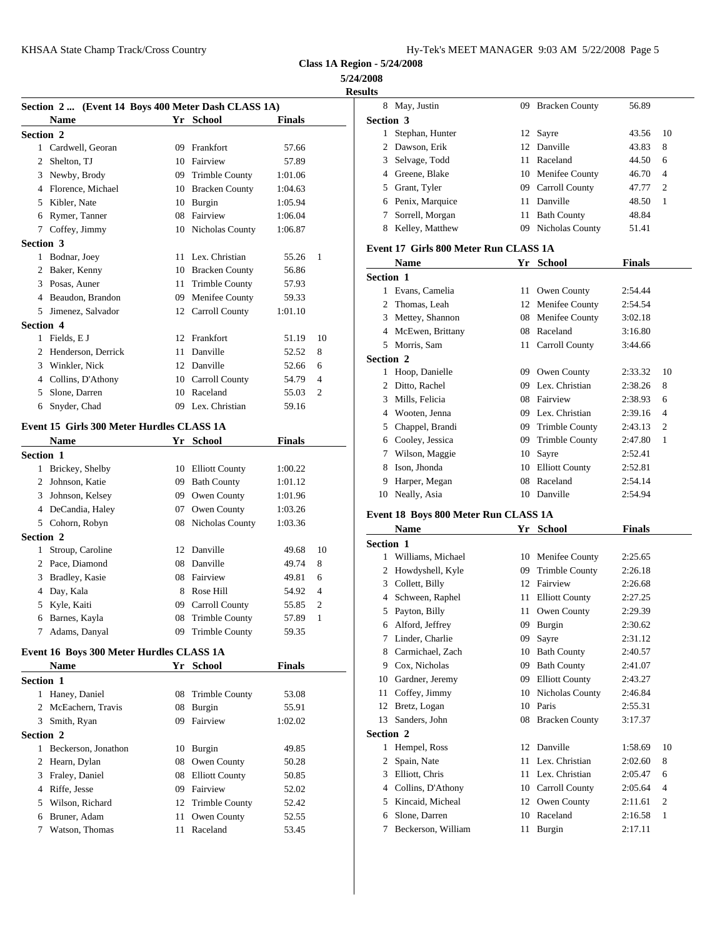| Hy-Tek's MEET MANAGER 9:03 AM 5/22/2008 Page 5 |  |  |  |
|------------------------------------------------|--|--|--|
|------------------------------------------------|--|--|--|

**5/24/2008**

|                  |                                                    |    |                    |               |                | <b>Results</b> |            |
|------------------|----------------------------------------------------|----|--------------------|---------------|----------------|----------------|------------|
|                  | Section 2  (Event 14 Boys 400 Meter Dash CLASS 1A) |    |                    |               |                |                | 8 May,     |
|                  | <b>Name</b>                                        |    | Yr School          | <b>Finals</b> |                | Section 3      |            |
| Section 2        |                                                    |    |                    |               |                | 1              | Steph      |
|                  | 1 Cardwell, Georan                                 |    | 09 Frankfort       | 57.66         |                |                | 2 Daws     |
|                  | 2 Shelton, TJ                                      |    | 10 Fairview        | 57.89         |                | 3              | Selva      |
|                  | 3 Newby, Brody                                     |    | 09 Trimble County  | 1:01.06       |                |                | 4 Green    |
|                  | 4 Florence, Michael                                |    | 10 Bracken County  | 1:04.63       |                | 5              | Grant      |
|                  | 5 Kibler, Nate                                     |    | 10 Burgin          | 1:05.94       |                | 6              | Penix      |
|                  | 6 Rymer, Tanner                                    |    | 08 Fairview        | 1:06.04       |                | 7              | Sorrel     |
|                  | 7 Coffey, Jimmy                                    |    | 10 Nicholas County | 1:06.87       |                | 8              | Kelle      |
| <b>Section 3</b> |                                                    |    |                    |               |                | Event 17 G     |            |
|                  | 1 Bodnar, Joey                                     |    | 11 Lex. Christian  | 55.26         | 1              |                | <b>Nam</b> |
|                  | 2 Baker, Kenny                                     |    | 10 Bracken County  | 56.86         |                | Section 1      |            |
|                  | 3 Posas, Auner                                     |    | 11 Trimble County  | 57.93         |                |                | 1 Evans    |
|                  | 4 Beaudon, Brandon                                 |    | 09 Menifee County  | 59.33         |                | 2              | Thom       |
|                  | 5 Jimenez, Salvador                                |    | 12 Carroll County  | 1:01.10       |                | 3              | Mette      |
| <b>Section 4</b> |                                                    |    |                    |               |                | 4              | McEy       |
|                  | 1 Fields, E J                                      |    | 12 Frankfort       | 51.19         | 10             | 5              | Morri      |
|                  | 2 Henderson, Derrick                               | 11 | Danville           | 52.52         | 8              | Section 2      |            |
|                  | 3 Winkler, Nick                                    |    | 12 Danville        | 52.66         | 6              | 1              | Hoop       |
|                  | 4 Collins, D'Athony                                |    | 10 Carroll County  | 54.79         | $\overline{4}$ | 2              | Ditto,     |
|                  | 5 Slone, Darren                                    |    | 10 Raceland        | 55.03         | $\overline{2}$ |                | 3 Mills,   |
| 6                | Snyder, Chad                                       |    | 09 Lex. Christian  | 59.16         |                |                | 4 Woot     |
|                  | Event 15 Girls 300 Meter Hurdles CLASS 1A          |    |                    |               |                |                | 5 Chap     |
|                  | <b>Name</b>                                        |    | Yr School          | <b>Finals</b> |                |                | 6 Coole    |
| Section 1        |                                                    |    |                    |               |                | 7              | Wilso      |
|                  | 1 Brickey, Shelby                                  |    | 10 Elliott County  | 1:00.22       |                | 8              | Ison,      |
|                  | 2 Johnson, Katie                                   |    | 09 Bath County     | 1:01.12       |                |                | Harpe      |
|                  | 3 Johnson, Kelsey                                  |    | 09 Owen County     | 1:01.96       |                | 10             | Neall      |
|                  | 4 DeCandia, Haley                                  |    | 07 Owen County     | 1:03.26       |                |                |            |
|                  | 5 Cohorn, Robyn                                    |    | 08 Nicholas County | 1:03.36       |                | Event 18 B     |            |
| Section 2        |                                                    |    |                    |               |                |                | Nam        |
|                  | 1 Stroup, Caroline                                 |    | 12 Danville        | 49.68         | 10             | Section 1      |            |
|                  | 2 Pace, Diamond                                    |    | 08 Danville        | 49.74         | 8              | 1              | Willia     |
|                  | 3 Bradley, Kasie                                   |    | 08 Fairview        | 49.81         | 6              | 2              | Howd       |
|                  | 4 Day, Kala                                        |    | 8 Rose Hill        | 54.92         | $\overline{4}$ |                | 3 Collet   |
|                  | 5 Kyle, Kaiti                                      |    | 09 Carroll County  | 55.85         | 2              |                | 4 Schw     |
|                  | 6 Barnes, Kayla                                    |    | 08 Trimble County  | 57.89         | $\mathbf{1}$   |                | 5 Payto    |
|                  | 7 Adams, Danyal                                    |    | 09 Trimble County  | 59.35         |                |                | 6 Alfor    |
|                  |                                                    |    |                    |               |                | 7              | Linde      |
|                  | Event 16 Boys 300 Meter Hurdles CLASS 1A           |    |                    |               |                |                | 8 Carm     |
|                  | Name                                               |    | Yr School          | <b>Finals</b> |                |                | 9 Cox, 1   |
| Section 1        |                                                    |    |                    |               |                |                | 10 Gardr   |
|                  | 1 Haney, Daniel                                    |    | 08 Trimble County  | 53.08         |                | 11             | Coffe      |
|                  | 2 McEachern, Travis                                |    | 08 Burgin          | 55.91         |                | 12             | Bretz.     |
|                  | 3 Smith, Ryan                                      |    | 09 Fairview        | 1:02.02       |                | 13             | Sande      |
| <b>Section 2</b> |                                                    |    |                    |               |                | Section 2      |            |
|                  | 1 Beckerson, Jonathon                              |    | 10 Burgin          | 49.85         |                | 1              | Hemp       |
|                  | 2 Hearn, Dylan                                     |    | 08 Owen County     | 50.28         |                | $\mathbf{2}$   | Spain      |
|                  | 3 Fraley, Daniel                                   |    | 08 Elliott County  | 50.85         |                |                | 3 Elliot   |
|                  | 4 Riffe, Jesse                                     |    | 09 Fairview        | 52.02         |                |                | 4 Collir   |
|                  | 5 Wilson, Richard                                  |    | 12 Trimble County  | 52.42         |                | 5              | Kinca      |
|                  | 6 Bruner, Adam                                     |    | 11 Owen County     | 52.55         |                | 6              | Slone      |
| 7                | Watson, Thomas                                     |    | 11 Raceland        | 53.45         |                | 7              | Becke      |
|                  |                                                    |    |                    |               |                |                |            |

|                  | 8 May, Justin                          |    | 09 Bracken County  | 56.89         |    |
|------------------|----------------------------------------|----|--------------------|---------------|----|
| <b>Section 3</b> |                                        |    |                    |               |    |
| $\mathbf{1}$     | Stephan, Hunter                        |    | 12 Sayre           | 43.56         | 10 |
|                  | 2 Dawson, Erik                         |    | 12 Danville        | 43.83         | 8  |
|                  | 3 Selvage, Todd                        |    | 11 Raceland        | 44.50         | 6  |
|                  | 4 Greene, Blake                        |    | 10 Menifee County  | 46.70         | 4  |
|                  | 5 Grant, Tyler                         |    | 09 Carroll County  | 47.77         | 2  |
|                  | 6 Penix, Marquice                      |    | 11 Danville        | 48.50         | 1  |
|                  | 7 Sorrell, Morgan                      |    | 11 Bath County     | 48.84         |    |
|                  | 8 Kelley, Matthew                      |    | 09 Nicholas County | 51.41         |    |
|                  |                                        |    |                    |               |    |
|                  | Event 17  Girls 800 Meter Run CLASS 1A |    |                    |               |    |
|                  | <b>Name</b>                            |    | Yr School          | <b>Finals</b> |    |
| Section 1        |                                        |    |                    |               |    |
|                  | 1 Evans, Camelia                       |    | 11 Owen County     | 2:54.44       |    |
|                  | 2 Thomas, Leah                         |    | 12 Menifee County  | 2:54.54       |    |
|                  | 3 Mettey, Shannon                      |    | 08 Menifee County  | 3:02.18       |    |
|                  | 4 McEwen, Brittany                     |    | 08 Raceland        | 3:16.80       |    |
|                  | 5 Morris, Sam                          |    | 11 Carroll County  | 3:44.66       |    |
| <b>Section 2</b> |                                        |    |                    |               |    |
|                  | 1 Hoop, Danielle                       |    | 09 Owen County     | 2:33.32       | 10 |
|                  | 2 Ditto, Rachel                        |    | 09 Lex. Christian  | 2:38.26       | 8  |
|                  | 3 Mills, Felicia                       |    | 08 Fairview        | 2:38.93       | 6  |
|                  | 4 Wooten, Jenna                        |    | 09 Lex. Christian  | 2:39.16       | 4  |
|                  | 5 Chappel, Brandi                      |    | 09 Trimble County  | 2:43.13       | 2  |
|                  | 6 Cooley, Jessica                      |    | 09 Trimble County  | 2:47.80       | 1  |
|                  |                                        |    |                    |               |    |
|                  | 7 Wilson, Maggie                       |    | 10 Sayre           | 2:52.41       |    |
|                  | 8 Ison, Jhonda                         |    | 10 Elliott County  | 2:52.81       |    |
|                  | 9 Harper, Megan                        |    | 08 Raceland        | 2:54.14       |    |
|                  | 10 Neally, Asia                        |    | 10 Danville        | 2:54.94       |    |
|                  | Event 18 Boys 800 Meter Run CLASS 1A   |    |                    |               |    |
|                  | <b>Name</b>                            |    | Yr School          | <b>Finals</b> |    |
| <b>Section 1</b> |                                        |    |                    |               |    |
| 1                | Williams, Michael                      |    | 10 Menifee County  | 2:25.65       |    |
|                  | 2 Howdyshell, Kyle                     |    | 09 Trimble County  | 2:26.18       |    |
|                  | 3 Collett, Billy                       |    | 12 Fairview        | 2:26.68       |    |
|                  | 4 Schween, Raphel                      |    | 11 Elliott County  | 2:27.25       |    |
|                  | 5 Payton, Billy                        |    | 11 Owen County     | 2:29.39       |    |
|                  | 6 Alford, Jeffrey                      |    | 09 Burgin          | 2:30.62       |    |
| 7                | Linder, Charlie                        | 09 | Sayre              | 2:31.12       |    |
| 8                | Carmichael, Zach                       | 10 | <b>Bath County</b> |               |    |
|                  |                                        |    |                    | 2:40.57       |    |
|                  | 9 Cox, Nicholas                        | 09 | <b>Bath County</b> | 2:41.07       |    |
| 10               | Gardner, Jeremy                        |    | 09 Elliott County  | 2:43.27       |    |
| 11               | Coffey, Jimmy                          | 10 | Nicholas County    | 2:46.84       |    |
| 12               | Bretz, Logan                           |    | 10 Paris           | 2:55.31       |    |
| 13               | Sanders, John                          |    | 08 Bracken County  | 3:17.37       |    |
| <b>Section 2</b> |                                        |    |                    |               |    |
| $\mathbf{1}$     | Hempel, Ross                           |    | 12 Danville        | 1:58.69       | 10 |
| $\mathbf{2}$     | Spain, Nate                            |    | 11 Lex. Christian  | 2:02.60       | 8  |
|                  | 3 Elliott, Chris                       |    | 11 Lex. Christian  | 2:05.47       | 6  |
|                  | 4 Collins, D'Athony                    |    | 10 Carroll County  | 2:05.64       | 4  |
|                  |                                        |    |                    |               |    |
|                  | 5 Kincaid, Micheal                     |    | 12 Owen County     | 2:11.61       | 2  |
| 6                | Slone, Darren                          |    | 10 Raceland        | 2:16.58       | 1  |
| 7                | Beckerson, William                     |    | 11 Burgin          | 2:17.11       |    |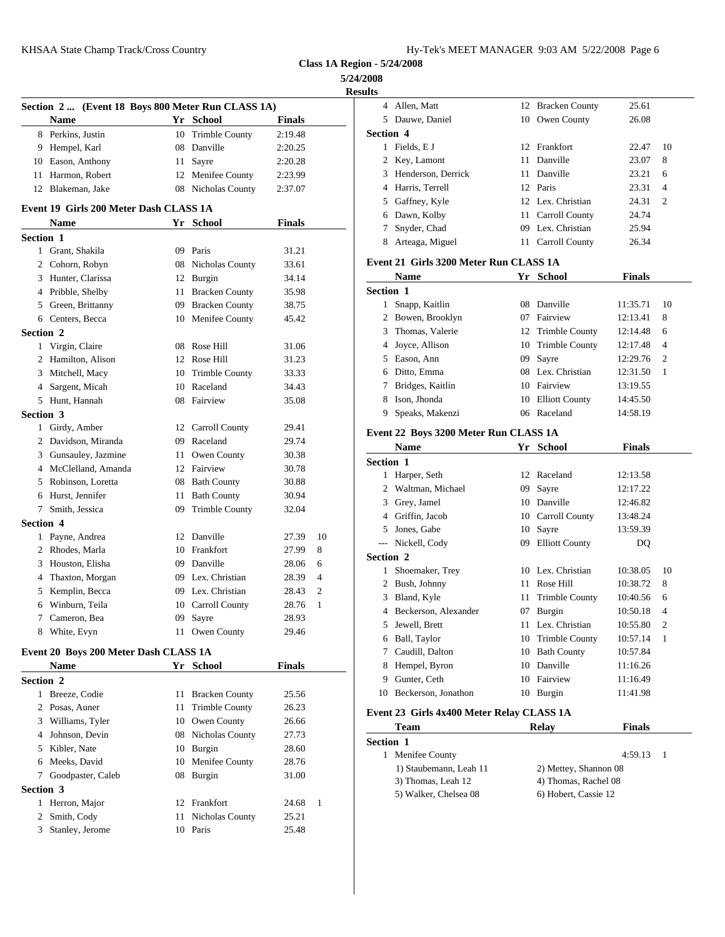KHSAA State Champ Track/Cross Country Hy-Tek's Manager 9:03 AM 572-2008 Page 6:03 AM 572-2008 Page 6:03 AM 5720

| Hy-Tek's MEET MANAGER  9:03 AM  5/22/2008  Page 6 |  |  |  |
|---------------------------------------------------|--|--|--|
|---------------------------------------------------|--|--|--|

**Class 1A Region - 5/24/2008**

**5/24/2008 Result** 

|                  |                                                   |    |                       |               |                | results                     |
|------------------|---------------------------------------------------|----|-----------------------|---------------|----------------|-----------------------------|
|                  | Section 2  (Event 18 Boys 800 Meter Run CLASS 1A) |    |                       |               |                | $\overline{4}$<br>Allen     |
|                  | <b>Name</b>                                       |    | Yr School             | <b>Finals</b> |                | 5.<br>Dauw                  |
|                  | 8 Perkins, Justin                                 |    | 10 Trimble County     | 2:19.48       |                | Section 4                   |
|                  | 9 Hempel, Karl                                    |    | 08 Danville           | 2:20.25       |                | Fields<br>1                 |
|                  | 10 Eason, Anthony                                 |    | 11 Sayre              | 2:20.28       |                | 2<br>Key, l                 |
|                  | 11 Harmon, Robert                                 |    | 12 Menifee County     | 2:23.99       |                | 3<br>Hend                   |
|                  | 12 Blakeman, Jake                                 |    | 08 Nicholas County    | 2:37.07       |                | 4 Harris                    |
|                  |                                                   |    |                       |               |                | Gaffn<br>5                  |
|                  | Event 19 Girls 200 Meter Dash CLASS 1A            |    |                       |               |                | 6<br>Dawn                   |
|                  | <b>Name</b>                                       |    | Yr School             | <b>Finals</b> |                | 7<br>Snyde                  |
| Section 1        |                                                   |    |                       |               |                | 8<br>Artea                  |
|                  | 1 Grant, Shakila                                  |    | 09 Paris              | 31.21         |                | Event 21 G                  |
|                  | 2 Cohorn, Robyn                                   |    | 08 Nicholas County    | 33.61         |                |                             |
|                  | 3 Hunter, Clarissa                                |    | 12 Burgin             | 34.14         |                | <b>Nam</b>                  |
|                  | 4 Pribble, Shelby                                 |    | 11 Bracken County     | 35.98         |                | <b>Section 1</b>            |
|                  | 5 Green, Brittanny                                |    | 09 Bracken County     | 38.75         |                | 1<br>Snapp                  |
|                  | 6 Centers, Becca                                  |    | 10 Menifee County     | 45.42         |                | $\overline{c}$<br>Bowe      |
| Section 2        |                                                   |    |                       |               |                | 3 Thom                      |
|                  | 1 Virgin, Claire                                  |    | 08 Rose Hill          | 31.06         |                | 4<br>Joyce                  |
|                  | 2 Hamilton, Alison                                |    | 12 Rose Hill          | 31.23         |                | 5 Eason                     |
|                  | 3 Mitchell, Macy                                  |    | 10 Trimble County     | 33.33         |                | 6 Ditto,                    |
|                  | 4 Sargent, Micah                                  |    | 10 Raceland           | 34.43         |                | $7^{\circ}$<br><b>Bridg</b> |
|                  | 5 Hunt, Hannah                                    |    | 08 Fairview           | 35.08         |                | 8<br>Ison,                  |
| Section 3        |                                                   |    |                       |               |                | 9<br>Speak                  |
|                  | 1 Girdy, Amber                                    |    | 12 Carroll County     | 29.41         |                | Event 22 B                  |
|                  | 2 Davidson, Miranda                               |    | 09 Raceland           | 29.74         |                | Nam                         |
|                  | 3 Gunsauley, Jazmine                              |    | 11 Owen County        | 30.38         |                | <b>Section 1</b>            |
|                  | 4 McClelland, Amanda                              |    | 12 Fairview           | 30.78         |                | 1<br>Harpe                  |
|                  | 5 Robinson, Loretta                               |    | 08 Bath County        | 30.88         |                | $\overline{c}$<br>Waltr     |
|                  | 6 Hurst, Jennifer                                 |    | 11 Bath County        | 30.94         |                | 3 Grey,                     |
| 7                | Smith, Jessica                                    | 09 | <b>Trimble County</b> | 32.04         |                | Griffi<br>4                 |
| <b>Section 4</b> |                                                   |    |                       |               |                | 5<br>Jones                  |
|                  | 1 Payne, Andrea                                   |    | 12 Danville           | 27.39         | 10             | Nicke<br>$\overline{a}$     |
|                  | 2 Rhodes, Marla                                   |    | 10 Frankfort          | 27.99         | 8              | <b>Section 2</b>            |
|                  | 3 Houston, Elisha                                 |    | 09 Danville           | 28.06         | 6              | 1<br>Shoer                  |
|                  | 4 Thaxton, Morgan                                 |    | 09 Lex. Christian     | 28.39         | $\overline{4}$ | $\overline{2}$<br>Bush,     |
|                  | 5 Kemplin, Becca                                  |    | 09 Lex. Christian     | 28.43         | $\overline{2}$ | 3 Bland                     |
|                  | 6 Winburn, Teila                                  |    | 10 Carroll County     | 28.76         | 1              | 4 Becke                     |
| 7                | Cameron, Bea                                      |    | 09 Sayre              | 28.93         |                | 5<br>Jewel                  |
| 8                | White, Evyn                                       |    | 11 Owen County        | 29.46         |                | Ball,<br>6                  |
|                  | Event 20 Boys 200 Meter Dash CLASS 1A             |    |                       |               |                | 7<br>Caudi                  |
|                  |                                                   |    |                       | <b>Finals</b> |                | 8                           |
|                  | Name                                              |    | Yr School             |               |                | Hemp                        |

|                  | . <b>.</b>          | . . | vuvvi                 | * ******* |    |                  |
|------------------|---------------------|-----|-----------------------|-----------|----|------------------|
| <b>Section 2</b> |                     |     |                       |           |    | 9<br>Gun         |
|                  | Breeze, Codie       | 11  | <b>Bracken County</b> | 25.56     |    | 10 Becl          |
|                  | 2 Posas, Auner      |     | 11 Trimble County     | 26.23     |    | Event 23         |
|                  | 3 Williams, Tyler   |     | 10 Owen County        | 26.66     |    | Tea              |
|                  | 4 Johnson, Devin    |     | 08 Nicholas County    | 27.73     |    | <b>Section 1</b> |
|                  | 5 Kibler, Nate      |     | 10 Burgin             | 28.60     |    | 1 Men            |
|                  | 6 Meeks, David      |     | 10 Menifee County     | 28.76     |    | $1)$ S           |
|                  | 7 Goodpaster, Caleb |     | 08 Burgin             | 31.00     |    | 3) T             |
| <b>Section 3</b> |                     |     |                       |           |    | $5)$ W           |
|                  | 1 Herron, Major     |     | 12 Frankfort          | 24.68     | -1 |                  |
|                  | 2 Smith, Cody       | 11  | Nicholas County       | 25.21     |    |                  |
| 3                | Stanley, Jerome     |     | 10 Paris              | 25.48     |    |                  |
|                  |                     |     |                       |           |    |                  |

| 008              |                                           |    |                       |               |              |
|------------------|-------------------------------------------|----|-----------------------|---------------|--------------|
| lts              |                                           |    |                       |               |              |
|                  | 4 Allen, Matt                             |    | 12 Bracken County     | 25.61         |              |
|                  | 5 Dauwe, Daniel                           |    | 10 Owen County        | 26.08         |              |
| <b>Section 4</b> |                                           |    |                       |               |              |
|                  | 1 Fields, E J                             |    | 12 Frankfort          | 22.47         | 10           |
|                  | 2 Key, Lamont                             |    | 11 Danville           | 23.07         | 8            |
|                  | 3 Henderson, Derrick                      |    | 11 Danville           | 23.21         | 6            |
|                  | 4 Harris, Terrell                         |    | 12 Paris              | 23.31         | 4            |
|                  | 5 Gaffney, Kyle                           |    | 12 Lex. Christian     | 24.31         | 2            |
|                  | 6 Dawn, Kolby                             |    | 11 Carroll County     | 24.74         |              |
| 7                | Snyder, Chad                              |    | 09 Lex. Christian     | 25.94         |              |
|                  | 8 Arteaga, Miguel                         |    | 11 Carroll County     | 26.34         |              |
|                  | Event 21  Girls 3200 Meter Run CLASS 1A   |    |                       |               |              |
|                  | Name                                      |    | Yr School             | Finals        |              |
| <b>Section 1</b> |                                           |    |                       |               |              |
|                  | 1 Snapp, Kaitlin                          |    | 08 Danville           | 11:35.71      | 10           |
|                  | 2 Bowen, Brooklyn                         |    | 07 Fairview           | 12:13.41      | 8            |
|                  | 3 Thomas, Valerie                         |    |                       |               | 6            |
|                  |                                           |    | 12 Trimble County     | 12:14.48      |              |
|                  | 4 Joyce, Allison                          |    | 10 Trimble County     | 12:17.48      | 4            |
|                  | 5 Eason, Ann                              |    | 09 Sayre              | 12:29.76      | 2            |
|                  | 6 Ditto, Emma                             |    | 08 Lex. Christian     | 12:31.50      | 1            |
|                  | 7 Bridges, Kaitlin                        |    | 10 Fairview           | 13:19.55      |              |
|                  | 8 Ison, Jhonda                            |    | 10 Elliott County     | 14:45.50      |              |
|                  | 9 Speaks, Makenzi                         |    | 06 Raceland           | 14:58.19      |              |
|                  | Event 22 Boys 3200 Meter Run CLASS 1A     |    |                       |               |              |
|                  | Name                                      |    | Yr School             | <b>Finals</b> |              |
| <b>Section 1</b> |                                           |    |                       |               |              |
|                  | 1 Harper, Seth                            |    | 12 Raceland           | 12:13.58      |              |
|                  | 2 Waltman, Michael                        | 09 | Sayre                 | 12:17.22      |              |
|                  | 3 Grey, Jamel                             |    | 10 Danville           | 12:46.82      |              |
|                  | 4 Griffin, Jacob                          |    | 10 Carroll County     | 13:48.24      |              |
|                  | 5 Jones, Gabe                             |    | 10 Sayre              | 13:59.39      |              |
|                  | --- Nickell, Cody                         |    | 09 Elliott County     | DQ            |              |
| <b>Section 2</b> |                                           |    |                       |               |              |
| $\mathbf{1}$     | Shoemaker, Trey                           |    | 10 Lex. Christian     | 10:38.05      | 10           |
|                  | 2 Bush, Johnny                            |    | 11 Rose Hill          | 10:38.72      | 8            |
|                  |                                           |    |                       | 10:40.56      |              |
|                  | 3 Bland, Kyle                             |    | 11 Trimble County     |               | 6            |
| 4                | Beckerson, Alexander                      |    | 07 Burgin             | 10:50.18      | 4            |
| 5                | Jewell, Brett                             | 11 | Lex. Christian        | 10:55.80      | 2            |
| 6                | Ball, Taylor                              |    | 10 Trimble County     | 10:57.14      | 1            |
| 7                | Caudill, Dalton                           |    | 10 Bath County        | 10:57.84      |              |
| 8                | Hempel, Byron                             |    | 10 Danville           | 11:16.26      |              |
|                  | 9 Gunter, Ceth                            |    | 10 Fairview           | 11:16.49      |              |
| 10               | Beckerson, Jonathon                       |    | 10 Burgin             | 11:41.98      |              |
|                  | Event 23 Girls 4x400 Meter Relay CLASS 1A |    |                       |               |              |
|                  | Team                                      |    | <b>Relay</b>          | <b>Finals</b> |              |
| <b>Section 1</b> |                                           |    |                       |               |              |
|                  | 1 Menifee County                          |    |                       | 4:59.13       | $\mathbf{1}$ |
|                  | 1) Staubemann, Leah 11                    |    | 2) Mettey, Shannon 08 |               |              |
|                  | 3) Thomas, Leah 12                        |    | 4) Thomas, Rachel 08  |               |              |
|                  | 5) Walker, Chelsea 08                     |    | 6) Hobert, Cassie 12  |               |              |
|                  |                                           |    |                       |               |              |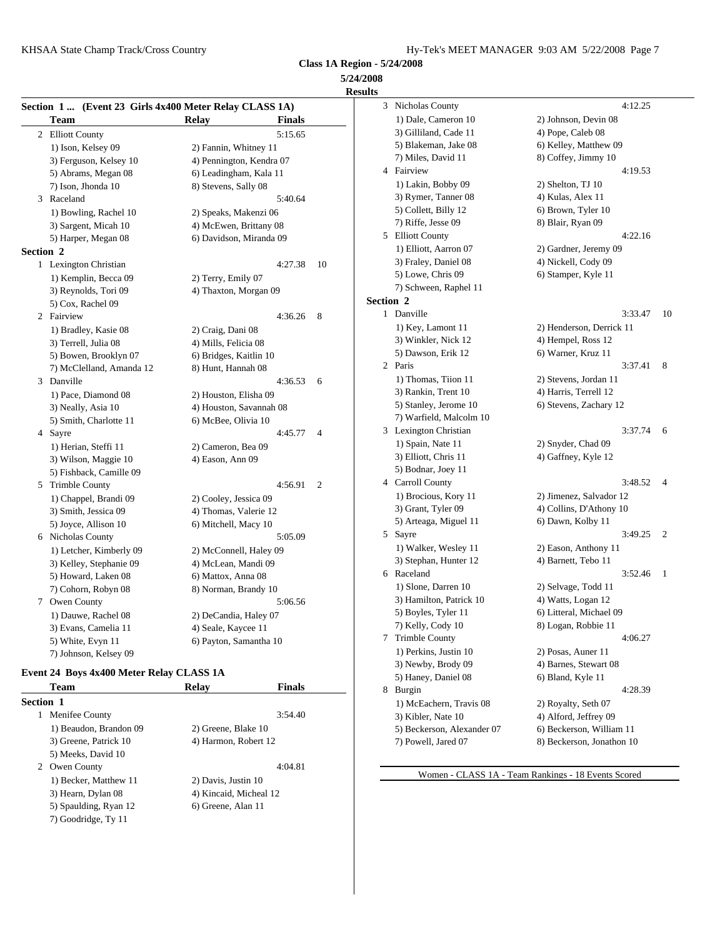**5/24/2008 Results**

|                  |                          | Section 1  (Event 23 Girls 4x400 Meter Relay CLASS 1A) |                |           | 3 Nicho  |
|------------------|--------------------------|--------------------------------------------------------|----------------|-----------|----------|
|                  | Team                     | <b>Relay</b><br><b>Finals</b>                          |                |           | 1) Da    |
|                  | 2 Elliott County         | 5:15.65                                                |                |           | 3) Gil   |
|                  | 1) Ison, Kelsey 09       | 2) Fannin, Whitney 11                                  |                |           | 5) $B1$  |
|                  | 3) Ferguson, Kelsey 10   | 4) Pennington, Kendra 07                               |                |           | 7) Mi    |
|                  | 5) Abrams, Megan 08      | 6) Leadingham, Kala 11                                 |                |           | 4 Fairvi |
|                  | 7) Ison, Jhonda 10       | 8) Stevens, Sally 08                                   |                |           | $1)$ La  |
|                  | 3 Raceland               | 5:40.64                                                |                |           | 3) Ry    |
|                  | 1) Bowling, Rachel 10    | 2) Speaks, Makenzi 06                                  |                |           | 5) Co    |
|                  | 3) Sargent, Micah 10     | 4) McEwen, Brittany 08                                 |                |           | 7) Rif   |
|                  | 5) Harper, Megan 08      | 6) Davidson, Miranda 09                                |                | 5         | Elliot   |
| <b>Section 2</b> |                          |                                                        |                |           | 1) Ell   |
|                  | 1 Lexington Christian    | 4:27.38                                                | 10             |           | 3) Fra   |
|                  | 1) Kemplin, Becca 09     | 2) Terry, Emily 07                                     |                |           | 5) Lo    |
|                  | 3) Reynolds, Tori 09     | 4) Thaxton, Morgan 09                                  |                |           | 7) Sel   |
|                  | 5) Cox, Rachel 09        |                                                        |                | Section 2 |          |
|                  | 2 Fairview               | 4:36.26                                                | 8              |           | 1 Danvi  |
|                  | 1) Bradley, Kasie 08     | 2) Craig, Dani 08                                      |                |           | $1)$ Ke  |
|                  | 3) Terrell, Julia 08     | 4) Mills, Felicia 08                                   |                |           | $3)$ Wi  |
|                  | 5) Bowen, Brooklyn 07    | 6) Bridges, Kaitlin 10                                 |                |           | 5) Da    |
|                  | 7) McClelland, Amanda 12 | 8) Hunt, Hannah 08                                     |                |           | 2 Paris  |
|                  | 3 Danville               | 4:36.53                                                | 6              |           | 1) Th    |
|                  | 1) Pace, Diamond 08      | 2) Houston, Elisha 09                                  |                |           | 3) Ra    |
|                  | 3) Neally, Asia 10       | 4) Houston, Savannah 08                                |                |           | 5) Sta   |
|                  | 5) Smith, Charlotte 11   | 6) McBee, Olivia 10                                    |                |           | $7)$ Wa  |
|                  | 4 Sayre                  | 4:45.77                                                | $\overline{4}$ |           | 3 Lexin  |
|                  | 1) Herian, Steffi 11     | 2) Cameron, Bea 09                                     |                |           | $1)$ Sp  |
|                  | 3) Wilson, Maggie 10     | 4) Eason, Ann 09                                       |                |           | 3) Ell   |
|                  | 5) Fishback, Camille 09  |                                                        |                |           | 5) Bo    |
|                  | 5 Trimble County         | 4:56.91                                                | $\overline{2}$ |           | 4 Carro  |
|                  | 1) Chappel, Brandi 09    | 2) Cooley, Jessica 09                                  |                |           | $1)$ Br  |
|                  | 3) Smith, Jessica 09     | 4) Thomas, Valerie 12                                  |                |           | 3) Gra   |
|                  | 5) Joyce, Allison 10     | 6) Mitchell, Macy 10                                   |                |           | 5) Art   |
|                  | 6 Nicholas County        | 5:05.09                                                |                |           | 5 Sayre  |
|                  | 1) Letcher, Kimberly 09  | 2) McConnell, Haley 09                                 |                |           | $1)$ Wa  |
|                  | 3) Kelley, Stephanie 09  | 4) McLean, Mandi 09                                    |                |           | 3) Ste   |
|                  | 5) Howard, Laken 08      | 6) Mattox, Anna 08                                     |                |           | 6 Racel  |
|                  | 7) Cohorn, Robyn 08      | 8) Norman, Brandy 10                                   |                |           | $1)$ Slo |
|                  | 7 Owen County            | 5:06.56                                                |                |           | 3) Ha    |
|                  | 1) Dauwe, Rachel 08      | 2) DeCandia, Haley 07                                  |                |           | 5) Bo    |
|                  | 3) Evans, Camelia 11     | 4) Seale, Kaycee 11                                    |                |           | 7) Ke    |
|                  | 5) White, Evyn 11        | 6) Payton, Samantha 10                                 |                | 7         | Trimb    |
|                  | 7) Johnson, Kelsey 09    |                                                        |                |           | 1) Per   |

## **Event 24 Boys 4x400 Meter Relay CLASS 1A**

|                  | Team                   | Relay                  | <b>Finals</b> | 8 |
|------------------|------------------------|------------------------|---------------|---|
| <b>Section 1</b> |                        |                        |               |   |
|                  | Menifee County         |                        | 3:54.40       |   |
|                  | 1) Beaudon, Brandon 09 | 2) Greene, Blake 10    |               |   |
|                  | 3) Greene, Patrick 10  | 4) Harmon, Robert 12   |               |   |
|                  | 5) Meeks, David 10     |                        |               |   |
| 2                | Owen County            |                        | 4:04.81       |   |
|                  | 1) Becker, Matthew 11  | 2) Davis, Justin 10    |               |   |
|                  | 3) Hearn, Dylan 08     | 4) Kincaid, Micheal 12 |               |   |
|                  | 5) Spaulding, Ryan 12  | 6) Greene, Alan 11     |               |   |
|                  | 7) Goodridge, Ty 11    |                        |               |   |
|                  |                        |                        |               |   |

| ults      |                            |                           |
|-----------|----------------------------|---------------------------|
| 3         | Nicholas County            | 4:12.25                   |
|           | 1) Dale, Cameron 10        | 2) Johnson, Devin 08      |
|           | 3) Gilliland, Cade 11      | 4) Pope, Caleb 08         |
|           | 5) Blakeman, Jake 08       | 6) Kelley, Matthew 09     |
|           | 7) Miles, David 11         | 8) Coffey, Jimmy 10       |
|           | 4 Fairview                 | 4:19.53                   |
|           | 1) Lakin, Bobby 09         | 2) Shelton, TJ 10         |
|           | 3) Rymer, Tanner 08        | 4) Kulas, Alex 11         |
|           | 5) Collett, Billy 12       | 6) Brown, Tyler 10        |
|           | 7) Riffe, Jesse 09         | 8) Blair, Ryan 09         |
|           | 5 Elliott County           | 4:22.16                   |
|           | 1) Elliott, Aarron 07      | 2) Gardner, Jeremy 09     |
|           | 3) Fraley, Daniel 08       | 4) Nickell, Cody 09       |
|           | 5) Lowe, Chris 09          | 6) Stamper, Kyle 11       |
|           | 7) Schween, Raphel 11      |                           |
| Section 2 |                            |                           |
|           | 1 Danville                 | 3:33.47<br>10             |
|           | 1) Key, Lamont 11          | 2) Henderson, Derrick 11  |
|           | 3) Winkler, Nick 12        | 4) Hempel, Ross 12        |
|           | 5) Dawson, Erik 12         | 6) Warner, Kruz 11        |
|           | 2 Paris                    | 3:37.41<br>8              |
|           | 1) Thomas, Tiion 11        | 2) Stevens, Jordan 11     |
|           | 3) Rankin, Trent 10        | 4) Harris, Terrell 12     |
|           | 5) Stanley, Jerome 10      | 6) Stevens, Zachary 12    |
|           | 7) Warfield, Malcolm 10    |                           |
|           | 3 Lexington Christian      | 3:37.74<br>6              |
|           | 1) Spain, Nate 11          | 2) Snyder, Chad 09        |
|           | 3) Elliott, Chris 11       | 4) Gaffney, Kyle 12       |
|           | 5) Bodnar, Joey 11         |                           |
|           | 4 Carroll County           | 3:48.52<br>4              |
|           | 1) Brocious, Kory 11       | 2) Jimenez, Salvador 12   |
|           | 3) Grant, Tyler 09         | 4) Collins, D'Athony 10   |
|           | 5) Arteaga, Miguel 11      | 6) Dawn, Kolby 11         |
| 5         | Sayre                      | 3:49.25<br>2              |
|           | 1) Walker, Wesley 11       | 2) Eason, Anthony 11      |
|           | 3) Stephan, Hunter 12      | 4) Barnett, Tebo 11       |
|           | 6 Raceland                 | 3:52.46<br>1              |
|           | 1) Slone, Darren 10        | 2) Selvage, Todd 11       |
|           | 3) Hamilton, Patrick 10    | 4) Watts, Logan 12        |
|           | 5) Boyles, Tyler 11        | 6) Litteral, Michael 09   |
|           | 7) Kelly, Cody 10          | 8) Logan, Robbie 11       |
| 7         | <b>Trimble County</b>      | 4:06.27                   |
|           | 1) Perkins, Justin 10      | 2) Posas, Auner 11        |
|           | 3) Newby, Brody 09         | 4) Barnes, Stewart 08     |
|           | 5) Haney, Daniel 08        | 6) Bland, Kyle 11         |
| 8.        | Burgin                     | 4:28.39                   |
|           | 1) McEachern, Travis 08    | 2) Royalty, Seth 07       |
|           | 3) Kibler, Nate 10         | 4) Alford, Jeffrey 09     |
|           | 5) Beckerson, Alexander 07 | 6) Beckerson, William 11  |
|           | 7) Powell, Jared 07        | 8) Beckerson, Jonathon 10 |
|           |                            |                           |

Women - CLASS 1A - Team Rankings - 18 Events Scored